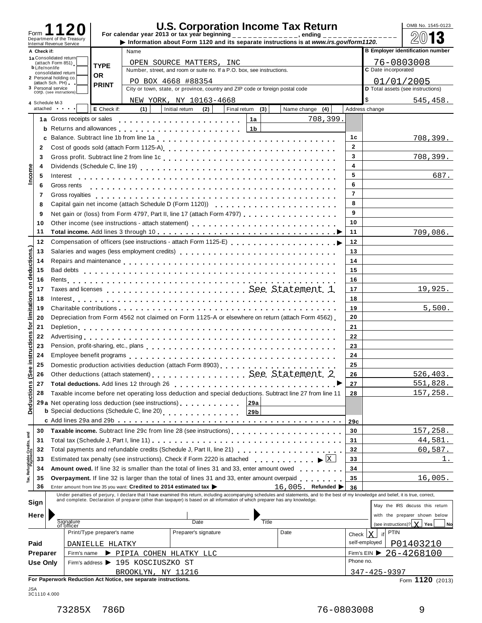| Form                    |             |                                                        |                            |                                                                    | <b>U.S. Corporation Income Tax Return</b><br>For calendar year 2013 or tax year beginning $\frac{1}{2}$ = $\frac{1}{2}$ = $\frac{1}{2}$ = $\frac{1}{2}$ = $\frac{1}{2}$ = $\frac{1}{2}$ = $\frac{1}{2}$ ending                      |                  |                                                                                                                                                                                                                                   |                |                         | OMB No. 1545-0123                       |
|-------------------------|-------------|--------------------------------------------------------|----------------------------|--------------------------------------------------------------------|-------------------------------------------------------------------------------------------------------------------------------------------------------------------------------------------------------------------------------------|------------------|-----------------------------------------------------------------------------------------------------------------------------------------------------------------------------------------------------------------------------------|----------------|-------------------------|-----------------------------------------|
|                         |             | Department of the Treasury<br>Internal Revenue Service |                            |                                                                    |                                                                                                                                                                                                                                     |                  | Information about Form 1120 and its separate instructions is at www.irs.gov/form1120.                                                                                                                                             |                |                         | 13                                      |
|                         | A Check if: |                                                        |                            | Name                                                               |                                                                                                                                                                                                                                     |                  |                                                                                                                                                                                                                                   |                |                         | <b>B Employer identification number</b> |
|                         |             | 1a Consolidated return<br>(attach Form 851)            |                            |                                                                    | OPEN SOURCE MATTERS, INC                                                                                                                                                                                                            |                  |                                                                                                                                                                                                                                   |                |                         | 76-0803008                              |
|                         |             | <b>b</b> Life/nonlife<br>consolidated return           | <b>TYPE</b>                |                                                                    | Number, street, and room or suite no. If a P.O. box, see instructions.                                                                                                                                                              |                  |                                                                                                                                                                                                                                   |                | C Date incorporated     |                                         |
|                         |             | 2 Personal holding co.                                 | <b>OR</b>                  |                                                                    | PO BOX 4668 #88354                                                                                                                                                                                                                  |                  |                                                                                                                                                                                                                                   |                |                         | 01/01/2005                              |
|                         |             | (attach Sch. PH)<br>3 Personal service                 | <b>PRINT</b>               |                                                                    | City or town, state, or province, country and ZIP code or foreign postal code                                                                                                                                                       |                  |                                                                                                                                                                                                                                   |                |                         | D Total assets (see instructions)       |
|                         |             | COrp. (see instructions)                               |                            |                                                                    | NEW YORK, NY 10163-4668                                                                                                                                                                                                             |                  |                                                                                                                                                                                                                                   |                |                         | 545,458.                                |
|                         |             | 4 Schedule M-3<br>attached <b>and</b>                  | E Check if:                | (1)                                                                | Initial return<br>(2)                                                                                                                                                                                                               | Final return (3) | Name change (4)                                                                                                                                                                                                                   |                | Address change          |                                         |
|                         |             | 1a Gross receipts or sales                             |                            |                                                                    |                                                                                                                                                                                                                                     | 1a               | 708,399.                                                                                                                                                                                                                          |                |                         |                                         |
|                         |             |                                                        |                            |                                                                    | <b>b</b> Returns and allowances entering the set of the set of the set of the set of the set of the set of the set of the set of the set of the set of the set of the set of the set of the set of the set of the set of the set of |                  |                                                                                                                                                                                                                                   |                |                         |                                         |
|                         |             |                                                        |                            |                                                                    |                                                                                                                                                                                                                                     |                  |                                                                                                                                                                                                                                   | 1c             |                         | 708,399.                                |
|                         |             |                                                        |                            |                                                                    |                                                                                                                                                                                                                                     |                  |                                                                                                                                                                                                                                   | $\overline{2}$ |                         |                                         |
|                         | 2           |                                                        |                            |                                                                    |                                                                                                                                                                                                                                     |                  |                                                                                                                                                                                                                                   | 3              |                         |                                         |
|                         | 3           |                                                        |                            |                                                                    |                                                                                                                                                                                                                                     |                  |                                                                                                                                                                                                                                   |                |                         | 708,399.                                |
| Income                  | 4           |                                                        |                            |                                                                    |                                                                                                                                                                                                                                     |                  |                                                                                                                                                                                                                                   | 4              |                         |                                         |
|                         | 5           |                                                        |                            |                                                                    |                                                                                                                                                                                                                                     |                  |                                                                                                                                                                                                                                   | 5              |                         | 687.                                    |
|                         | 6           | Gross rents                                            |                            |                                                                    |                                                                                                                                                                                                                                     |                  |                                                                                                                                                                                                                                   | 6              |                         |                                         |
|                         | 7           | Gross royalties                                        |                            |                                                                    |                                                                                                                                                                                                                                     |                  |                                                                                                                                                                                                                                   | $\overline{7}$ |                         |                                         |
|                         | 8           |                                                        |                            |                                                                    |                                                                                                                                                                                                                                     |                  |                                                                                                                                                                                                                                   | 8              |                         |                                         |
|                         | 9           |                                                        |                            |                                                                    | Net gain or (loss) from Form 4797, Part II, line 17 (attach Form 4797)                                                                                                                                                              |                  |                                                                                                                                                                                                                                   | 9              |                         |                                         |
|                         | 10          |                                                        |                            |                                                                    |                                                                                                                                                                                                                                     |                  |                                                                                                                                                                                                                                   | 10             |                         |                                         |
|                         | 11          |                                                        |                            |                                                                    |                                                                                                                                                                                                                                     |                  |                                                                                                                                                                                                                                   | 11             |                         | 709,086.                                |
|                         | 12          |                                                        |                            |                                                                    |                                                                                                                                                                                                                                     |                  |                                                                                                                                                                                                                                   | 12             |                         |                                         |
| deductions.)            | 13          |                                                        |                            |                                                                    | Salaries and wages (less employment credits)                                                                                                                                                                                        |                  |                                                                                                                                                                                                                                   | 13             |                         |                                         |
|                         | 14          |                                                        |                            |                                                                    |                                                                                                                                                                                                                                     |                  |                                                                                                                                                                                                                                   | 14             |                         |                                         |
|                         | 15          |                                                        |                            |                                                                    |                                                                                                                                                                                                                                     |                  |                                                                                                                                                                                                                                   | 15             |                         |                                         |
|                         | 16          |                                                        |                            |                                                                    |                                                                                                                                                                                                                                     |                  |                                                                                                                                                                                                                                   | 16             |                         |                                         |
| δ                       | 17          |                                                        |                            |                                                                    |                                                                                                                                                                                                                                     |                  |                                                                                                                                                                                                                                   | 17             |                         | 19,925.                                 |
| limitations             | 18          |                                                        |                            |                                                                    |                                                                                                                                                                                                                                     |                  |                                                                                                                                                                                                                                   | 18             |                         |                                         |
|                         | 19          |                                                        |                            |                                                                    |                                                                                                                                                                                                                                     |                  |                                                                                                                                                                                                                                   | 19             |                         | 5,500.                                  |
|                         | 20          |                                                        |                            |                                                                    | Depreciation from Form 4562 not claimed on Form 1125-A or elsewhere on return (attach Form 4562)                                                                                                                                    |                  |                                                                                                                                                                                                                                   | 20             |                         |                                         |
| ğ                       | 21          |                                                        |                            |                                                                    |                                                                                                                                                                                                                                     |                  |                                                                                                                                                                                                                                   | 21             |                         |                                         |
| s                       |             |                                                        |                            |                                                                    |                                                                                                                                                                                                                                     |                  |                                                                                                                                                                                                                                   |                |                         |                                         |
|                         | 22          |                                                        |                            |                                                                    |                                                                                                                                                                                                                                     |                  |                                                                                                                                                                                                                                   | 22             |                         |                                         |
| struction               | 23          |                                                        |                            |                                                                    |                                                                                                                                                                                                                                     |                  |                                                                                                                                                                                                                                   | 23             |                         |                                         |
| 으.                      | 24          |                                                        |                            |                                                                    |                                                                                                                                                                                                                                     |                  |                                                                                                                                                                                                                                   | 24             |                         |                                         |
| $\pmb{\omega}$          | 25          |                                                        |                            |                                                                    |                                                                                                                                                                                                                                     |                  |                                                                                                                                                                                                                                   | 25             |                         |                                         |
| లీ                      | 26          |                                                        |                            |                                                                    | Other deductions (attach statement) See. Statement. 2.                                                                                                                                                                              |                  |                                                                                                                                                                                                                                   | 26             |                         | 526, 403.                               |
|                         | 27          |                                                        |                            |                                                                    | Total deductions. Add lines 12 through 26 [10] [10] Total deductions. Add lines 12 through 26                                                                                                                                       |                  |                                                                                                                                                                                                                                   | 27             |                         | 551,828.                                |
|                         | 28          |                                                        |                            |                                                                    | Taxable income before net operating loss deduction and special deductions. Subtract line 27 from line 11                                                                                                                            |                  |                                                                                                                                                                                                                                   | 28             |                         | 157,258.                                |
| Deductions              |             |                                                        |                            |                                                                    | 29 a Net operating loss deduction (see instructions)                                                                                                                                                                                | 29a              |                                                                                                                                                                                                                                   |                |                         |                                         |
|                         |             |                                                        |                            |                                                                    | <b>b</b> Special deductions (Schedule C, line 20)<br>                                                                                                                                                                               | 29b              |                                                                                                                                                                                                                                   |                |                         |                                         |
|                         |             |                                                        |                            |                                                                    |                                                                                                                                                                                                                                     |                  |                                                                                                                                                                                                                                   | 29c            |                         |                                         |
|                         | 30          |                                                        |                            |                                                                    |                                                                                                                                                                                                                                     |                  | Taxable income. Subtract line 29c from line 28 (see instructions)                                                                                                                                                                 | 30             |                         | 157,258.                                |
|                         | 31          |                                                        |                            |                                                                    |                                                                                                                                                                                                                                     |                  |                                                                                                                                                                                                                                   | 31             |                         | 44,581.                                 |
|                         | 32          |                                                        |                            |                                                                    |                                                                                                                                                                                                                                     |                  |                                                                                                                                                                                                                                   | 32             |                         | 60,587.                                 |
| Refundable Credits, and | 33          |                                                        |                            |                                                                    | Estimated tax penalty (see instructions). Check if Form 2220 is attached                                                                                                                                                            |                  | $\blacktriangleright$ $\mid$ X                                                                                                                                                                                                    | 33             |                         | 1.                                      |
|                         | 34          |                                                        |                            |                                                                    | Amount owed. If line 32 is smaller than the total of lines 31 and 33, enter amount owed                                                                                                                                             |                  |                                                                                                                                                                                                                                   | 34             |                         |                                         |
| Tax,                    | 35          |                                                        |                            |                                                                    |                                                                                                                                                                                                                                     |                  | <b>Overpayment.</b> If line 32 is larger than the total of lines 31 and 33, enter amount overpaid                                                                                                                                 | 35             |                         | 16,005.                                 |
|                         | 36          |                                                        |                            | Enter amount from line 35 you want: Credited to 2014 estimated tax |                                                                                                                                                                                                                                     |                  | 16,005. Refunded >                                                                                                                                                                                                                | 36             |                         |                                         |
|                         |             |                                                        |                            |                                                                    |                                                                                                                                                                                                                                     |                  | Under penalties of perjury, I declare that I have examined this return, including accompanying schedules and statements, and to the best of my knowledge and belief, it is true, correct,<br>and complete. Declaration of prepare |                |                         |                                         |
|                         | Sign        |                                                        |                            |                                                                    |                                                                                                                                                                                                                                     |                  |                                                                                                                                                                                                                                   |                |                         | May the IRS discuss this return         |
|                         | Here        |                                                        |                            |                                                                    |                                                                                                                                                                                                                                     |                  |                                                                                                                                                                                                                                   |                |                         | with the preparer shown below           |
|                         |             | Signature<br>of officer                                |                            |                                                                    | Date                                                                                                                                                                                                                                | Title            |                                                                                                                                                                                                                                   |                |                         | (see instructions)? $X$ Yes<br>No       |
|                         |             |                                                        | Print/Type preparer's name |                                                                    | Preparer's signature                                                                                                                                                                                                                |                  | Date                                                                                                                                                                                                                              |                | <b>PTIN</b><br>lx<br>if |                                         |
|                         |             |                                                        |                            |                                                                    |                                                                                                                                                                                                                                     |                  |                                                                                                                                                                                                                                   | Check          | self-employed           |                                         |
|                         | Paid        |                                                        | DANIELLE HLATKY            |                                                                    |                                                                                                                                                                                                                                     |                  |                                                                                                                                                                                                                                   |                |                         | P01403210                               |
|                         | Preparer    | Firm's name                                            |                            | PIPIA COHEN HLATKY LLC                                             |                                                                                                                                                                                                                                     |                  |                                                                                                                                                                                                                                   |                |                         | Firm's EIN $\triangleright$ 26-4268100  |
|                         | Use Only    |                                                        |                            | Firm's address ▶ 195 KOSCIUSZKO ST                                 |                                                                                                                                                                                                                                     |                  |                                                                                                                                                                                                                                   | Phone no.      |                         |                                         |
|                         |             |                                                        |                            | BROOKLYN, NY 11216                                                 |                                                                                                                                                                                                                                     |                  |                                                                                                                                                                                                                                   |                | $347 - 425 - 9397$      |                                         |
|                         |             |                                                        |                            | For Paperwork Reduction Act Notice, see separate instructions.     |                                                                                                                                                                                                                                     |                  |                                                                                                                                                                                                                                   |                |                         | Form 1120 (2013)                        |

JSA 3C1110 4.000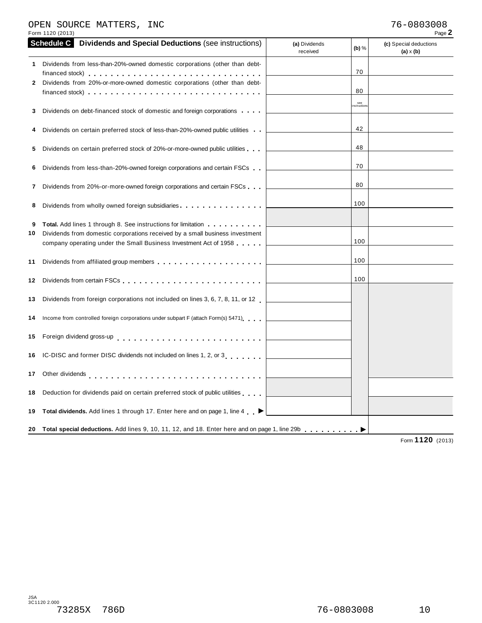### OPEN SOURCE MATTERS, INC 76-0803008

| Form 1120 (2013)                                                                                                                                                                                                                                                                  |                                      | Page 2                                     |
|-----------------------------------------------------------------------------------------------------------------------------------------------------------------------------------------------------------------------------------------------------------------------------------|--------------------------------------|--------------------------------------------|
| <b>Schedule C</b><br><b>Dividends and Special Deductions (see instructions)</b>                                                                                                                                                                                                   | (a) Dividends<br>(b) $%$<br>received | (c) Special deductions<br>$(a) \times (b)$ |
| 1 Dividends from less-than-20%-owned domestic corporations (other than debt-<br>Dividends from 20%-or-more-owned domestic corporations (other than debt-<br>2<br>financed stock) $\cdots$ , $\cdots$ , $\cdots$ , $\cdots$ , $\cdots$ , $\cdots$ , $\cdots$ , $\cdots$ , $\cdots$ | 70<br>80                             |                                            |
| Dividends on debt-financed stock of domestic and foreign corporations<br>3                                                                                                                                                                                                        | see<br>nstruction                    |                                            |
| Dividends on certain preferred stock of less-than-20%-owned public utilities                                                                                                                                                                                                      | 42                                   |                                            |
| Dividends on certain preferred stock of 20%-or-more-owned public utilities.<br>5                                                                                                                                                                                                  | 48                                   |                                            |
| Dividends from less-than-20%-owned foreign corporations and certain FSCs<br>6                                                                                                                                                                                                     | 70                                   |                                            |
| Dividends from 20%-or-more-owned foreign corporations and certain FSCs<br>7                                                                                                                                                                                                       | 80                                   |                                            |
| Dividends from wholly owned foreign subsidiaries<br>8                                                                                                                                                                                                                             | 100                                  |                                            |
| <b>Total.</b> Add lines 1 through 8. See instructions for limitation <b></b><br>9<br>Dividends from domestic corporations received by a small business investment<br>10<br>company operating under the Small Business Investment Act of 1958                                      | 100                                  |                                            |
| 11                                                                                                                                                                                                                                                                                | 100                                  |                                            |
| 12                                                                                                                                                                                                                                                                                | 100                                  |                                            |
| Dividends from foreign corporations not included on lines 3, 6, 7, 8, 11, or 12<br>13                                                                                                                                                                                             |                                      |                                            |
| Income from controlled foreign corporations under subpart F (attach Form(s) 5471)<br>14                                                                                                                                                                                           |                                      |                                            |
| Foreign dividend gross-up entertainment of the state of the state of the state of the state of the state of the<br>15                                                                                                                                                             |                                      |                                            |
| IC-DISC and former DISC dividends not included on lines 1, 2, or 3<br>16                                                                                                                                                                                                          |                                      |                                            |
| Other dividends enterprise response to the contract of the contract of the contract of the contract of the contract of the contract of the contract of the contract of the contract of the contract of the contract of the con<br>17                                              |                                      |                                            |
| Deduction for dividends paid on certain preferred stock of public utilities<br>18                                                                                                                                                                                                 |                                      |                                            |
| Total dividends. Add lines 1 through 17. Enter here and on page 1, line 4 ▶<br>19                                                                                                                                                                                                 |                                      |                                            |
| 20 Total special deductions. Add lines 9, 10, 11, 12, and 18. Enter here and on page 1, line 29b enterchance between                                                                                                                                                              |                                      | 4420                                       |

Form **1120** (2013)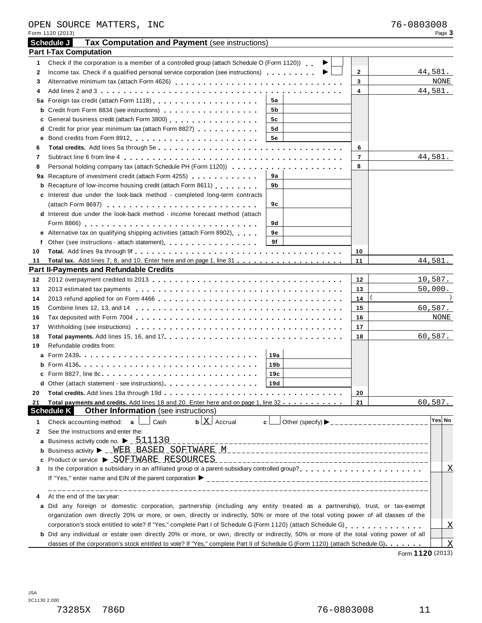|    | Form 1120 (2013)                                                                                                                                                                                                                 |                 |   |                | Page 3                    |
|----|----------------------------------------------------------------------------------------------------------------------------------------------------------------------------------------------------------------------------------|-----------------|---|----------------|---------------------------|
|    | <b>Tax Computation and Payment (see instructions)</b><br>Schedule J                                                                                                                                                              |                 |   |                |                           |
|    | <b>Part I-Tax Computation</b>                                                                                                                                                                                                    |                 |   |                |                           |
| 1  | Check if the corporation is a member of a controlled group (attach Schedule O (Form 1120))                                                                                                                                       |                 |   |                |                           |
| 2  | Income tax. Check if a qualified personal service corporation (see instructions) $\ldots$ ,,,,,,,,,,                                                                                                                             |                 | ▸ | $\mathbf{2}$   | 44,581.                   |
| 3  |                                                                                                                                                                                                                                  |                 |   | 3              | NONE                      |
| 4  |                                                                                                                                                                                                                                  |                 |   | 4              | 44,581.                   |
|    | 5a Foreign tax credit (attach Form 1118)<br><sub>1111</sub>                                                                                                                                                                      | 5а              |   |                |                           |
|    | <b>b</b> Credit from Form 8834 (see instructions) <b>contained</b> Credit from Form 8834 (see instructions)                                                                                                                      | 5b              |   |                |                           |
|    | c General business credit (attach Form 3800) [19] [19] Contract Contract Contract Contract Contract Contract Contract Contract Contract Contract Contract Contract Contract Contract Contract Contract Contract Contract Contr   | 5c              |   |                |                           |
|    | d Credit for prior year minimum tax (attach Form 8827)                                                                                                                                                                           | 5d              |   |                |                           |
| е  |                                                                                                                                                                                                                                  | <b>5e</b>       |   |                |                           |
| 6  |                                                                                                                                                                                                                                  |                 |   | 6              |                           |
| 7  |                                                                                                                                                                                                                                  |                 |   | $\overline{7}$ | 44,581.                   |
| 8  |                                                                                                                                                                                                                                  |                 |   | 8              |                           |
|    | 9a Recapture of investment credit (attach Form 4255)                                                                                                                                                                             | 9а              |   |                |                           |
|    | <b>b</b> Recapture of low-income housing credit (attach Form 8611)                                                                                                                                                               | 9b              |   |                |                           |
|    | c Interest due under the look-back method - completed long-term contracts                                                                                                                                                        |                 |   |                |                           |
|    |                                                                                                                                                                                                                                  | 9с              |   |                |                           |
|    | d Interest due under the look-back method - income forecast method (attach                                                                                                                                                       |                 |   |                |                           |
|    |                                                                                                                                                                                                                                  | 9d              |   |                |                           |
|    | e Alternative tax on qualifying shipping activities (attach Form 8902)                                                                                                                                                           | 9е              |   |                |                           |
| f  | Other (see instructions - attach statement)<br>experience in the statement of the statement of the statement of the statement of the statement of the statement of the statement of the statement of the statement of the statem | 9f              |   |                |                           |
| 10 |                                                                                                                                                                                                                                  |                 |   | 10             |                           |
| 11 |                                                                                                                                                                                                                                  |                 |   | 11             | 44,581.                   |
|    | <b>Part II-Payments and Refundable Credits</b><br><u> 1989 - Johann Stoff, deutscher Stoff, der Stoff, der Stoff, der Stoff, der Stoff, der Stoff, der Stoff, der S</u>                                                          |                 |   |                |                           |
| 12 |                                                                                                                                                                                                                                  |                 |   | 12             | 10,587.                   |
| 13 |                                                                                                                                                                                                                                  |                 |   | 13             | 50,000.                   |
| 14 |                                                                                                                                                                                                                                  |                 |   | 14             |                           |
| 15 |                                                                                                                                                                                                                                  |                 |   | 15             | 60,587.                   |
| 16 |                                                                                                                                                                                                                                  |                 |   | 16             | NONE                      |
| 17 |                                                                                                                                                                                                                                  |                 |   | 17             |                           |
| 18 |                                                                                                                                                                                                                                  |                 |   | 18             | 60,587.                   |
| 19 | Refundable credits from:                                                                                                                                                                                                         |                 |   |                |                           |
|    |                                                                                                                                                                                                                                  | 19a             |   |                |                           |
|    |                                                                                                                                                                                                                                  | 19 <sub>b</sub> |   |                |                           |
|    |                                                                                                                                                                                                                                  | 19c             |   |                |                           |
|    | Other (attach statement - see instructions).                                                                                                                                                                                     | 19d             |   |                |                           |
| 20 |                                                                                                                                                                                                                                  |                 |   | 20             |                           |
| 21 | Total payments and credits. Add lines 18 and 20. Enter here and on page 1, line 32                                                                                                                                               |                 |   | 21             | 60,587.                   |
|    | <b>Schedule K</b><br><b>Other Information</b> (see instructions)                                                                                                                                                                 |                 |   |                |                           |
| 1  | $\mathbf{b}$ $\lfloor \mathbf{X} \rfloor$ Accrual<br>Check accounting method: a<br>Cash                                                                                                                                          | c l             |   |                | Yes∣ No                   |
| 2  | See the instructions and enter the:                                                                                                                                                                                              |                 |   |                |                           |
| а  | Business activity code no. $\blacktriangleright$ _ $511130$                                                                                                                                                                      |                 |   |                |                           |
|    |                                                                                                                                                                                                                                  |                 |   |                |                           |
| c  | Product or service ▶ SOFTWARE RESOURCES                                                                                                                                                                                          |                 |   |                |                           |
| 3  |                                                                                                                                                                                                                                  |                 |   |                | $\overline{\text{X}}$     |
|    |                                                                                                                                                                                                                                  |                 |   |                |                           |
|    |                                                                                                                                                                                                                                  |                 |   |                |                           |
| 4  | At the end of the tax year:                                                                                                                                                                                                      |                 |   |                |                           |
|    | a Did any foreign or domestic corporation, partnership (including any entity treated as a partnership), trust, or tax-exempt                                                                                                     |                 |   |                |                           |
|    | organization own directly 20% or more, or own, directly or indirectly, 50% or more of the total voting power of all classes of the                                                                                               |                 |   |                |                           |
|    |                                                                                                                                                                                                                                  |                 |   |                | $\overline{X}$            |
|    | b Did any individual or estate own directly 20% or more, or own, directly or indirectly, 50% or more of the total voting power of all                                                                                            |                 |   |                |                           |
|    | classes of the corporation's stock entitled to vote? If "Yes," complete Part II of Schedule G (Form 1120) (attach Schedule G)                                                                                                    |                 |   |                | $\boldsymbol{\mathrm{X}}$ |

Form **1120** (2013)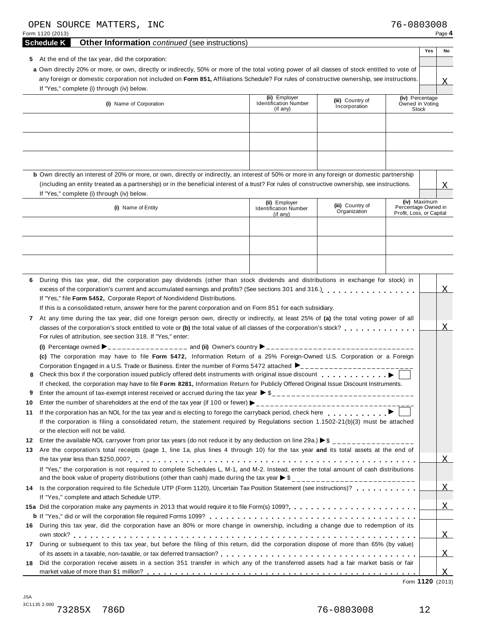| OPEN SOURCE MATTERS, INC<br>Form 1120 (2013)                                                                                                                                                                                                                                                                                                                                                                                                                                                                                                                                                                                                                                                                                                                                                                                                                                                                                                                                                                                                                            |  |                                                           |                                   | 76-0803008                                                      | Page 4          |  |  |
|-------------------------------------------------------------------------------------------------------------------------------------------------------------------------------------------------------------------------------------------------------------------------------------------------------------------------------------------------------------------------------------------------------------------------------------------------------------------------------------------------------------------------------------------------------------------------------------------------------------------------------------------------------------------------------------------------------------------------------------------------------------------------------------------------------------------------------------------------------------------------------------------------------------------------------------------------------------------------------------------------------------------------------------------------------------------------|--|-----------------------------------------------------------|-----------------------------------|-----------------------------------------------------------------|-----------------|--|--|
| <b>Schedule K</b><br><b>Other Information</b> continued (see instructions)                                                                                                                                                                                                                                                                                                                                                                                                                                                                                                                                                                                                                                                                                                                                                                                                                                                                                                                                                                                              |  |                                                           |                                   |                                                                 |                 |  |  |
| 5 At the end of the tax year, did the corporation:<br>a Own directly 20% or more, or own, directly or indirectly, 50% or more of the total voting power of all classes of stock entitled to vote of<br>any foreign or domestic corporation not included on Form 851, Affiliations Schedule? For rules of constructive ownership, see instructions.<br>If "Yes," complete (i) through (iv) below.                                                                                                                                                                                                                                                                                                                                                                                                                                                                                                                                                                                                                                                                        |  |                                                           |                                   |                                                                 | Yes<br>No<br>X. |  |  |
| (i) Name of Corporation                                                                                                                                                                                                                                                                                                                                                                                                                                                                                                                                                                                                                                                                                                                                                                                                                                                                                                                                                                                                                                                 |  | (ii) Employer<br><b>Identification Number</b><br>(if any) | (iii) Country of<br>Incorporation | (iv) Percentage<br>Owned in Voting<br><b>Stock</b>              |                 |  |  |
| <b>b</b> Own directly an interest of 20% or more, or own, directly or indirectly, an interest of 50% or more in any foreign or domestic partnership<br>(including an entity treated as a partnership) or in the beneficial interest of a trust? For rules of constructive ownership, see instructions.                                                                                                                                                                                                                                                                                                                                                                                                                                                                                                                                                                                                                                                                                                                                                                  |  |                                                           |                                   |                                                                 | X               |  |  |
| If "Yes," complete (i) through (iv) below.                                                                                                                                                                                                                                                                                                                                                                                                                                                                                                                                                                                                                                                                                                                                                                                                                                                                                                                                                                                                                              |  |                                                           |                                   |                                                                 |                 |  |  |
| (i) Name of Entity                                                                                                                                                                                                                                                                                                                                                                                                                                                                                                                                                                                                                                                                                                                                                                                                                                                                                                                                                                                                                                                      |  | (ii) Employer<br><b>Identification Number</b><br>(if any) | (iii) Country of<br>Organization  | (iv) Maximum<br>Percentage Owned in<br>Profit, Loss, or Capital |                 |  |  |
| During this tax year, did the corporation pay dividends (other than stock dividends and distributions in exchange for stock) in<br>6<br>excess of the corporation's current and accumulated earnings and profits? (See sections 301 and 316.)<br>If "Yes," file Form 5452, Corporate Report of Nondividend Distributions.<br>If this is a consolidated return, answer here for the parent corporation and on Form 851 for each subsidiary.<br>At any time during the tax year, did one foreign person own, directly or indirectly, at least 25% of (a) the total voting power of all<br>$\mathbf{7}$<br>classes of the corporation's stock entitled to vote or (b) the total value of all classes of the corporation's stock?<br>For rules of attribution, see section 318. If "Yes," enter:<br>(c) The corporation may have to file Form 5472, Information Return of a 25% Foreign-Owned U.S. Corporation or a Foreign<br>Corporation Engaged in a U.S. Trade or Business. Enter the number of Forms 5472 attached $\blacktriangleright$ ________________________<br>8 |  |                                                           |                                   |                                                                 | X               |  |  |
| If checked, the corporation may have to file Form 8281, Information Return for Publicly Offered Original Issue Discount Instruments.<br>Enter the amount of tax-exempt interest received or accrued during the tax year $\triangleright$ \$<br>9                                                                                                                                                                                                                                                                                                                                                                                                                                                                                                                                                                                                                                                                                                                                                                                                                        |  |                                                           |                                   |                                                                 |                 |  |  |
| 10<br>If the corporation has an NOL for the tax year and is electing to forego the carryback period, check here entitleded as a set of $\blacktriangleright$<br>11<br>If the corporation is filing a consolidated return, the statement required by Regulations section 1.1502-21(b)(3) must be attached<br>or the election will not be valid.<br>Enter the available NOL carryover from prior tax years (do not reduce it by any deduction on line 29a.) $\triangleright$ \$ _________________<br>12<br>Are the corporation's total receipts (page 1, line 1a, plus lines 4 through 10) for the tax year and its total assets at the end of<br>13                                                                                                                                                                                                                                                                                                                                                                                                                      |  |                                                           |                                   |                                                                 |                 |  |  |
| If "Yes," the corporation is not required to complete Schedules L, M-1, and M-2. Instead, enter the total amount of cash distributions                                                                                                                                                                                                                                                                                                                                                                                                                                                                                                                                                                                                                                                                                                                                                                                                                                                                                                                                  |  |                                                           |                                   |                                                                 | X               |  |  |
| Is the corporation required to file Schedule UTP (Form 1120), Uncertain Tax Position Statement (see instructions)?<br>14<br>If "Yes," complete and attach Schedule UTP.                                                                                                                                                                                                                                                                                                                                                                                                                                                                                                                                                                                                                                                                                                                                                                                                                                                                                                 |  |                                                           |                                   |                                                                 | $\overline{X}$  |  |  |
|                                                                                                                                                                                                                                                                                                                                                                                                                                                                                                                                                                                                                                                                                                                                                                                                                                                                                                                                                                                                                                                                         |  |                                                           |                                   |                                                                 | X               |  |  |
| During this tax year, did the corporation have an 80% or more change in ownership, including a change due to redemption of its<br>16.                                                                                                                                                                                                                                                                                                                                                                                                                                                                                                                                                                                                                                                                                                                                                                                                                                                                                                                                   |  |                                                           |                                   |                                                                 | $\mathbf X$     |  |  |
| During or subsequent to this tax year, but before the filing of this return, did the corporation dispose of more than 65% (by value)<br>17<br>Did the corporation receive assets in a section 351 transfer in which any of the transferred assets had a fair market basis or fair<br>18                                                                                                                                                                                                                                                                                                                                                                                                                                                                                                                                                                                                                                                                                                                                                                                 |  |                                                           |                                   |                                                                 | X               |  |  |
|                                                                                                                                                                                                                                                                                                                                                                                                                                                                                                                                                                                                                                                                                                                                                                                                                                                                                                                                                                                                                                                                         |  |                                                           |                                   |                                                                 | X               |  |  |

Form **1120** (2013)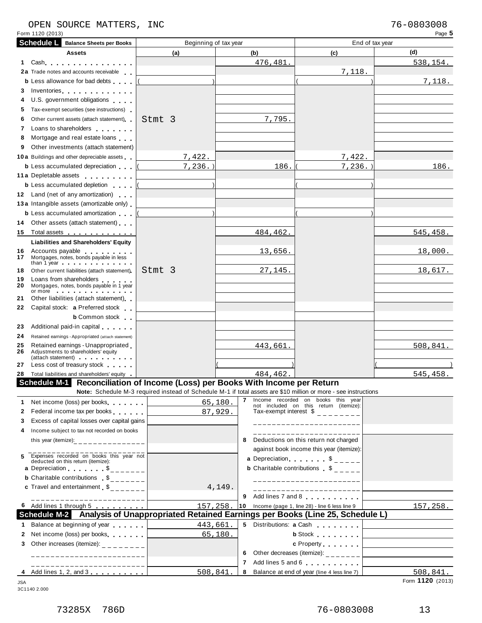### OPEN SOURCE MATTERS, INC 76-0803008

| Form 1120 (2013)                                                                                                         |                                                                                                                 |              |                                                                                                                                            | Page 5          |
|--------------------------------------------------------------------------------------------------------------------------|-----------------------------------------------------------------------------------------------------------------|--------------|--------------------------------------------------------------------------------------------------------------------------------------------|-----------------|
| <b>Schedule L</b><br><b>Balance Sheets per Books</b>                                                                     | Beginning of tax year                                                                                           |              |                                                                                                                                            | End of tax year |
| Assets                                                                                                                   | (a)                                                                                                             | (b)          | (c)                                                                                                                                        | (d)             |
| 1 Cash                                                                                                                   |                                                                                                                 | 476,481.     |                                                                                                                                            | <u>538,154.</u> |
| 2a Trade notes and accounts receivable                                                                                   |                                                                                                                 |              | 7,118.                                                                                                                                     |                 |
| <b>b</b> Less allowance for bad debts                                                                                    |                                                                                                                 |              |                                                                                                                                            | 7,118.          |
| Inventories<br>3                                                                                                         |                                                                                                                 |              |                                                                                                                                            |                 |
| U.S. government obligations<br>4                                                                                         |                                                                                                                 |              |                                                                                                                                            |                 |
| Tax-exempt securities (see instructions)<br>5                                                                            |                                                                                                                 |              |                                                                                                                                            |                 |
| Other current assets (attach statement)<br>6                                                                             | Stmt 3                                                                                                          | 7,795.       |                                                                                                                                            |                 |
| Loans to shareholders <b>contained</b><br>7                                                                              |                                                                                                                 |              |                                                                                                                                            |                 |
| Mortgage and real estate loans<br>8                                                                                      |                                                                                                                 |              |                                                                                                                                            |                 |
| Other investments (attach statement)<br>9                                                                                |                                                                                                                 |              |                                                                                                                                            |                 |
| <b>10a</b> Buildings and other depreciable assets                                                                        | 7,422.                                                                                                          |              | 7,422.                                                                                                                                     |                 |
| <b>b</b> Less accumulated depreciation                                                                                   | $7, 236.$ )                                                                                                     | 186.         | $7,236.$ )                                                                                                                                 | 186.            |
| 11 a Depletable assets                                                                                                   |                                                                                                                 |              |                                                                                                                                            |                 |
| <b>b</b> Less accumulated depletion                                                                                      |                                                                                                                 |              |                                                                                                                                            |                 |
| 12 Land (net of any amortization)                                                                                        |                                                                                                                 |              |                                                                                                                                            |                 |
| 13 a Intangible assets (amortizable only)                                                                                |                                                                                                                 |              |                                                                                                                                            |                 |
| <b>b</b> Less accumulated amortization                                                                                   |                                                                                                                 |              |                                                                                                                                            |                 |
| Other assets (attach statement)<br>14                                                                                    |                                                                                                                 |              |                                                                                                                                            |                 |
| Total assets<br>15                                                                                                       |                                                                                                                 | 484,462.     |                                                                                                                                            | 545, 458.       |
| Liabilities and Shareholders' Equity                                                                                     |                                                                                                                 |              |                                                                                                                                            |                 |
| Accounts payable<br>16<br>Mortgages, notes, bonds payable in less<br>17<br>than 1 year                                   |                                                                                                                 | 13,656.      |                                                                                                                                            | 18,000.         |
| 18<br>Other current liabilities (attach statement).                                                                      | Stmt 3                                                                                                          | 27,145.      |                                                                                                                                            | 18,617.         |
| Loans from shareholders<br>19<br>Mortgages, notes, bonds payable in 1 year<br>20<br>$or more$ $\cdots$ $\cdots$ $\cdots$ |                                                                                                                 |              |                                                                                                                                            |                 |
| Other liabilities (attach statement)<br>21                                                                               |                                                                                                                 |              |                                                                                                                                            |                 |
| Capital stock: a Preferred stock<br>22                                                                                   |                                                                                                                 |              |                                                                                                                                            |                 |
| <b>b</b> Common stock                                                                                                    |                                                                                                                 |              |                                                                                                                                            |                 |
| Additional paid-in capital<br>23                                                                                         |                                                                                                                 |              |                                                                                                                                            |                 |
| 24<br>Retained earnings - Appropriated (attach statement)                                                                |                                                                                                                 |              |                                                                                                                                            |                 |
| Retained earnings - Unappropriated<br>25<br>Adjustments to shareholders' equity<br>26<br>(attach statement)              |                                                                                                                 | 443,661.     |                                                                                                                                            | 508,841.        |
| Less cost of treasury stock<br>27                                                                                        |                                                                                                                 |              |                                                                                                                                            |                 |
| 28 Total liabilities and shareholders' equity                                                                            |                                                                                                                 | 484, 462.    |                                                                                                                                            | 545,458.        |
| Schedule M-1 Reconciliation of Income (Loss) per Books With Income per Return                                            |                                                                                                                 |              |                                                                                                                                            |                 |
|                                                                                                                          | Note: Schedule M-3 required instead of Schedule M-1 if total assets are \$10 million or more - see instructions |              |                                                                                                                                            |                 |
| Net income (loss) per books<br>1.                                                                                        |                                                                                                                 | 65,180.      | 7 Income recorded on books this year<br>not included on this return (itemize):                                                             |                 |
| Federal income tax per books<br>$\mathbf{2}$                                                                             |                                                                                                                 | 87,929.      | Tax-exempt interest $\frac{1}{2}$ = = = = = = = =                                                                                          |                 |
| Excess of capital losses over capital gains<br>3                                                                         |                                                                                                                 |              | ----------------------                                                                                                                     |                 |
| Income subject to tax not recorded on books<br>4                                                                         |                                                                                                                 |              |                                                                                                                                            |                 |
| this year (itemize): _________________                                                                                   |                                                                                                                 | 8            | Deductions on this return not charged                                                                                                      |                 |
| Expenses recorded on books this year not<br>5<br>deducted on this return (itemize):                                      |                                                                                                                 |              | against book income this year (itemize):<br>a Depreciation $\begin{array}{ccc} \circ & \circ & \circ \\ \circ & \circ & \circ \end{array}$ |                 |
| a Depreciation $\ldots$ , $\frac{1}{2}$                                                                                  |                                                                                                                 |              | <b>b</b> Charitable contributions $\$$ _ _ _ _                                                                                             |                 |
| <b>b</b> Charitable contributions $\int_{-\infty}^{\infty}$                                                              |                                                                                                                 |              | _______________________                                                                                                                    |                 |
| <b>c</b> Travel and entertainment $\delta$ <sub>------</sub>                                                             |                                                                                                                 | 4,149.       | ------------------------                                                                                                                   |                 |
| ---------------------                                                                                                    |                                                                                                                 | 9            | Add lines 7 and 8                                                                                                                          |                 |
| 6 Add lines 1 through 5 [10] Add lines 1 through 5                                                                       | 157,258.                                                                                                        | $ 10\rangle$ | Income (page 1, line 28) - line 6 less line 9                                                                                              | 157, 258.       |
| Schedule M-2 Analysis of Unappropriated Retained Earnings per Books (Line 25, Schedule L)                                |                                                                                                                 |              |                                                                                                                                            |                 |
| Balance at beginning of year [<br>1.                                                                                     | 443,661                                                                                                         |              |                                                                                                                                            |                 |
| Net income (loss) per books<br>2                                                                                         |                                                                                                                 | 65,180.      | b Stock [                                                                                                                                  |                 |
|                                                                                                                          |                                                                                                                 |              |                                                                                                                                            |                 |
| Other increases (itemize): $\frac{1}{2}$ - - - - - - -<br>3                                                              |                                                                                                                 |              |                                                                                                                                            |                 |
| ______________________                                                                                                   |                                                                                                                 | 6            | Other decreases (itemize): $\frac{1}{2}$ - - - - - - - -                                                                                   |                 |
| _______________________                                                                                                  | 508,841                                                                                                         | 7<br>8       | Add lines 5 and 6<br>Balance at end of year (line 4 less line 7)                                                                           | 508,841.        |

3C1140 2.000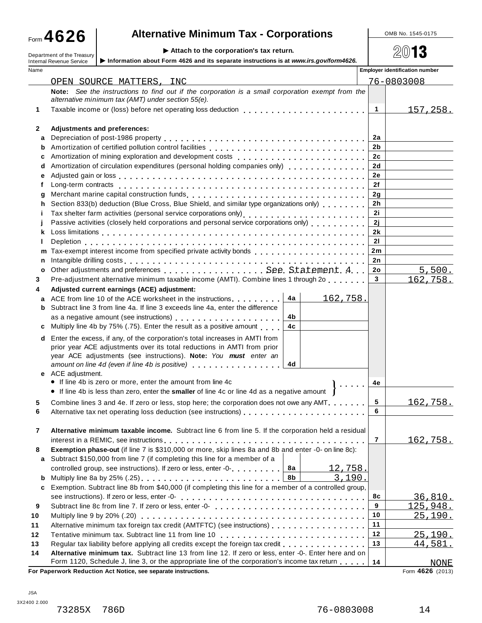## **A**  $\bullet$  26 **a Alternative Minimum Tax - Corporations Alternative Minimum Tax - Corporations**

Department of the Treasury **Attach to the corporation's tax** return.<br>Department of the Treasury **Attach is a set of the corporation**'s tax return.

|        | P Allach to the corporation $\mathbf s$ lax return.<br>Department of the Treasury<br>Information about Form 4626 and its separate instructions is at www.irs.gov/form4626.<br><b>Internal Revenue Service</b> |                      | ≪W I•                                 |
|--------|---------------------------------------------------------------------------------------------------------------------------------------------------------------------------------------------------------------|----------------------|---------------------------------------|
| Name   |                                                                                                                                                                                                               |                      | <b>Employer identification number</b> |
|        | OPEN SOURCE MATTERS, INC                                                                                                                                                                                      |                      | 76-0803008                            |
|        | Note: See the instructions to find out if the corporation is a small corporation exempt from the                                                                                                              |                      |                                       |
|        | alternative minimum tax (AMT) under section 55(e).                                                                                                                                                            |                      |                                       |
| 1      |                                                                                                                                                                                                               | $\mathbf{1}$         | 157,258.                              |
|        |                                                                                                                                                                                                               |                      |                                       |
| 2      | Adjustments and preferences:                                                                                                                                                                                  |                      |                                       |
| а      |                                                                                                                                                                                                               | 2a                   |                                       |
| b      |                                                                                                                                                                                                               | 2 <sub>b</sub>       |                                       |
| c      | Amortization of mining exploration and development costs<br>quartities of the cost of the cost of the cost of the cost of the cost of the cost of the cost of the cost of                                     | 2c                   |                                       |
| d      | Amortization of circulation expenditures (personal holding companies only) [11] [11] [11] [11] [11] [11] [11]                                                                                                 | 2d                   |                                       |
| е      |                                                                                                                                                                                                               | 2e                   |                                       |
| f      |                                                                                                                                                                                                               | 2f                   |                                       |
| g      | Section 833(b) deduction (Blue Cross, Blue Shield, and similar type organizations only) [11, 11, 11, 11]                                                                                                      | 2g<br>2 <sub>h</sub> |                                       |
| h<br>Ĩ | Tax shelter farm activities (personal service corporations only)<br>                                                                                                                                          | 2i                   |                                       |
|        | Passive activities (closely held corporations and personal service corporations only)                                                                                                                         | 2j                   |                                       |
| k      |                                                                                                                                                                                                               | 2k                   |                                       |
|        |                                                                                                                                                                                                               | 21                   |                                       |
| m      |                                                                                                                                                                                                               | 2m                   |                                       |
| n      |                                                                                                                                                                                                               | 2n                   |                                       |
| o      |                                                                                                                                                                                                               | 2o                   | 5,500.                                |
| 3      | Pre-adjustment alternative minimum taxable income (AMTI). Combine lines 1 through 2o ,                                                                                                                        | $\mathbf{3}$         | <u>162,758.</u>                       |
| 4      | Adjusted current earnings (ACE) adjustment:                                                                                                                                                                   |                      |                                       |
| a      | 4a<br>ACE from line 10 of the ACE worksheet in the instructions<br><u>162,758.</u>                                                                                                                            |                      |                                       |
| b      | Subtract line 3 from line 4a. If line 3 exceeds line 4a, enter the difference                                                                                                                                 |                      |                                       |
|        | 4b                                                                                                                                                                                                            |                      |                                       |
| c      | 4c<br>Multiply line 4b by 75% (.75). Enter the result as a positive amount                                                                                                                                    |                      |                                       |
| d      | Enter the excess, if any, of the corporation's total increases in AMTI from                                                                                                                                   |                      |                                       |
|        | prior year ACE adjustments over its total reductions in AMTI from prior                                                                                                                                       |                      |                                       |
|        | year ACE adjustments (see instructions). Note: You must enter an                                                                                                                                              |                      |                                       |
|        | 4d<br>amount on line 4d (even if line 4b is positive) example and in the set of the set of the set of the set of the                                                                                          |                      |                                       |
|        | e ACE adjustment.<br>• If line 4b is zero or more, enter the amount from line 4c                                                                                                                              |                      |                                       |
|        | • If line 4b is less than zero, enter the smaller of line 4c or line 4d as a negative amount                                                                                                                  | 4e                   |                                       |
|        |                                                                                                                                                                                                               | 5                    |                                       |
| 6      | Combine lines 3 and 4e. If zero or less, stop here; the corporation does not owe any AMT.                                                                                                                     | 6                    | 162,758.                              |
|        |                                                                                                                                                                                                               |                      |                                       |
| 7      | Alternative minimum taxable income. Subtract line 6 from line 5. If the corporation held a residual                                                                                                           |                      |                                       |
|        |                                                                                                                                                                                                               | 7                    | <u>162,758.</u>                       |
| 8      | Exemption phase-out (if line 7 is \$310,000 or more, skip lines 8a and 8b and enter -0- on line 8c):                                                                                                          |                      |                                       |
| а      | Subtract \$150,000 from line 7 (if completing this line for a member of a                                                                                                                                     |                      |                                       |
|        | 8а<br>controlled group, see instructions). If zero or less, enter -0-<br>12,758.                                                                                                                              |                      |                                       |
| b      | 8b<br>Multiply line 8a by 25% (.25)<br>3,190.                                                                                                                                                                 |                      |                                       |
| c      | Exemption. Subtract line 8b from \$40,000 (if completing this line for a member of a controlled group,                                                                                                        |                      |                                       |
|        |                                                                                                                                                                                                               | 8с                   | 36,810.                               |
| 9      | Subtract line 8c from line 7. If zero or less, enter -0-                                                                                                                                                      | 9                    | 125,948.                              |
| 10     |                                                                                                                                                                                                               | 10                   | <u>25,190.</u>                        |
| 11     | Alternative minimum tax foreign tax credit (AMTFTC) (see instructions)                                                                                                                                        | 11                   |                                       |
| 12     |                                                                                                                                                                                                               | 12                   | 25, 190.                              |
| 13     | Regular tax liability before applying all credits except the foreign tax credit                                                                                                                               | 13                   | 44,581.                               |
| 14     | Alternative minimum tax. Subtract line 13 from line 12. If zero or less, enter -0-. Enter here and on                                                                                                         |                      |                                       |
|        | Form 1120, Schedule J, line 3, or the appropriate line of the corporation's income tax return                                                                                                                 | 14                   | <b>NONE</b>                           |

**For Paperwork Reduction Act Notice, see separate instructions.** 

Form 4626 (2013)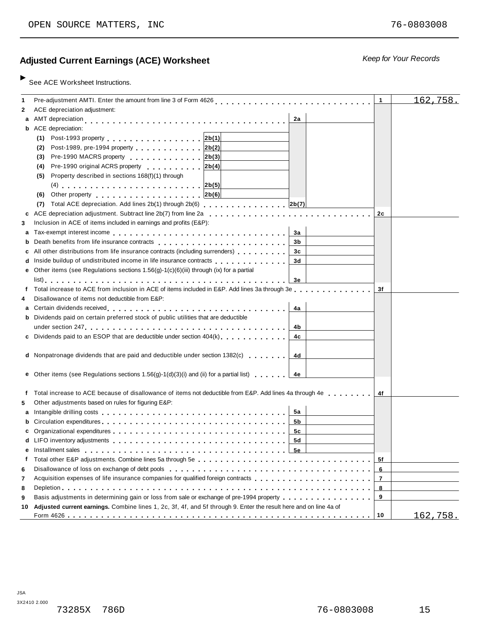### **Ad** *Keep for Your Records* **justed Current Earnings (ACE) Worksheet**

See ACE Worksheet Instructions.

| 1  | Pre-adjustment AMTI. Enter the amount from line 3 of Form 4626                                                                                                                                                                                  | 1              | 162,758. |
|----|-------------------------------------------------------------------------------------------------------------------------------------------------------------------------------------------------------------------------------------------------|----------------|----------|
| 2  | ACE depreciation adjustment:                                                                                                                                                                                                                    |                |          |
|    | AMT depreciation<br>2a                                                                                                                                                                                                                          |                |          |
| а  |                                                                                                                                                                                                                                                 |                |          |
|    | <b>b</b> ACE depreciation:                                                                                                                                                                                                                      |                |          |
|    | Post-1993 property entertainment and all the set of the 12b(1)<br>(1)                                                                                                                                                                           |                |          |
|    | Post-1989, pre-1994 property 2b(2)<br>(2)                                                                                                                                                                                                       |                |          |
|    | Pre-1990 MACRS property 2b(3)<br>(3)                                                                                                                                                                                                            |                |          |
|    | Pre-1990 original ACRS property<br> 2b(4) <br>(4)                                                                                                                                                                                               |                |          |
|    | Property described in sections 168(f)(1) through<br>(5)                                                                                                                                                                                         |                |          |
|    |                                                                                                                                                                                                                                                 |                |          |
|    | 2b(6) <br>(6)<br>Other property entering the state of the state of the state of the state of the state of the state of the state of the state of the state of the state of the state of the state of the state of the state of the state of the |                |          |
|    | Total ACE depreciation. Add lines 2b(1) through 2b(6) 2b(7)<br>(7)                                                                                                                                                                              |                |          |
| c  | ACE depreciation adjustment. Subtract line 2b(7) from line 2a                                                                                                                                                                                   | 2c             |          |
| 3  | Inclusion in ACE of items included in earnings and profits (E&P):                                                                                                                                                                               |                |          |
| а  | За                                                                                                                                                                                                                                              |                |          |
| b  | 3b                                                                                                                                                                                                                                              |                |          |
|    | All other distributions from life insurance contracts (including surrenders)<br>3c                                                                                                                                                              |                |          |
|    | Inside buildup of undistributed income in life insurance contracts<br>3d                                                                                                                                                                        |                |          |
| е  | Other items (see Regulations sections 1.56(g)-1(c)(6)(iii) through (ix) for a partial                                                                                                                                                           |                |          |
|    | Зе                                                                                                                                                                                                                                              |                |          |
|    | Total increase to ACE from inclusion in ACE of items included in E&P. Add lines 3a through 3e                                                                                                                                                   | 3f             |          |
| 4  | Disallowance of items not deductible from E&P:                                                                                                                                                                                                  |                |          |
| а  | 4a                                                                                                                                                                                                                                              |                |          |
|    | <b>b</b> Dividends paid on certain preferred stock of public utilities that are deductible                                                                                                                                                      |                |          |
|    | 4b                                                                                                                                                                                                                                              |                |          |
|    | c Dividends paid to an ESOP that are deductible under section 404(k)<br>4c                                                                                                                                                                      |                |          |
|    |                                                                                                                                                                                                                                                 |                |          |
|    | d Nonpatronage dividends that are paid and deductible under section 1382(c)<br>4d                                                                                                                                                               |                |          |
|    |                                                                                                                                                                                                                                                 |                |          |
|    | <b>e</b> Other items (see Regulations sections 1.56(g)-1(d)(3)(i) and (ii) for a partial list) $\cdots$<br>4e                                                                                                                                   |                |          |
|    |                                                                                                                                                                                                                                                 |                |          |
| f  | Total increase to ACE because of disallowance of items not deductible from E&P. Add lines 4a through 4e                                                                                                                                         | 4f             |          |
| 5  | Other adjustments based on rules for figuring E&P:                                                                                                                                                                                              |                |          |
|    | 5а                                                                                                                                                                                                                                              |                |          |
| а  | 5b                                                                                                                                                                                                                                              |                |          |
|    |                                                                                                                                                                                                                                                 |                |          |
|    | 5c<br>5d                                                                                                                                                                                                                                        |                |          |
|    |                                                                                                                                                                                                                                                 |                |          |
|    | 5е                                                                                                                                                                                                                                              |                |          |
| f  |                                                                                                                                                                                                                                                 | 5f             |          |
| 6  |                                                                                                                                                                                                                                                 | 6              |          |
| 7  | Acquisition expenses of life insurance companies for qualified foreign contracts                                                                                                                                                                | $\overline{7}$ |          |
| 8  |                                                                                                                                                                                                                                                 | 8              |          |
| 9  | Basis adjustments in determining gain or loss from sale or exchange of pre-1994 property                                                                                                                                                        | 9              |          |
| 10 | Adjusted current earnings. Combine lines 1, 2c, 3f, 4f, and 5f through 9. Enter the result here and on line 4a of                                                                                                                               |                |          |
|    |                                                                                                                                                                                                                                                 | 10             | 162,758. |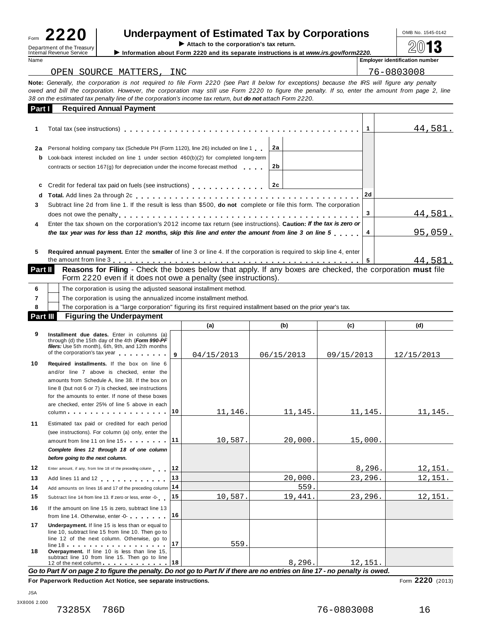I **Attach to the corporation's tax return.**<br>
Department of the Treasury<br>
Information about Form 2220 and its separate instructions is

# $\begin{array}{r|l}\n\hline\n\text{Form} & \textbf{2220}\n\end{array}\n\quad\n\begin{array}{r|l}\n\hline\n\text{Underpayment of Estimated Tax by Corporation}\n\end{array}\n\quad\n\begin{array}{r|l}\n\hline\n\text{Corportions}\n\end{array}\n\quad\n\begin{array}{r|l}\n\hline\n\text{OMB No. 1545-0142}\n\hline\n\end{array}\n\quad\n\begin{array}{r|l}\n\hline\n\text{OMB No. 1545-0142}\n\hline\n\end{array}\n\quad\n\begin{array}{r|l}\n\hline\n\text{MB No.$

Internal Revenue Service **Information about Form 2220** and its separate instructions is at *www.irs.gov/form2220.*<br>Name **internal Revenue Service I** 

**Employer identification number** 

| OPEN SOURCE MATTERS, INC                                                                                                                                                                                                                                                                                                                                                                                              |  | 76-0803008 |  |  |  |  |  |  |  |
|-----------------------------------------------------------------------------------------------------------------------------------------------------------------------------------------------------------------------------------------------------------------------------------------------------------------------------------------------------------------------------------------------------------------------|--|------------|--|--|--|--|--|--|--|
| Note: Generally, the corporation is not required to file Form 2220 (see Part II below for exceptions) because the IRS will figure any penalty<br>owed and bill the corporation. However, the corporation may still use Form 2220 to figure the penalty. If so, enter the amount from page 2, line<br>38 on the estimated tax penalty line of the corporation's income tax return, but <b>do not</b> attach Form 2220. |  |            |  |  |  |  |  |  |  |
| <b>Required Annual Payment</b><br>Part I                                                                                                                                                                                                                                                                                                                                                                              |  |            |  |  |  |  |  |  |  |
|                                                                                                                                                                                                                                                                                                                                                                                                                       |  |            |  |  |  |  |  |  |  |

|         |                                                                                                                                                                                                                                                                              |                | 44,581.        |
|---------|------------------------------------------------------------------------------------------------------------------------------------------------------------------------------------------------------------------------------------------------------------------------------|----------------|----------------|
| 2a<br>b | Personal holding company tax (Schedule PH (Form 1120), line 26) included on line 1<br>2a<br>Look-back interest included on line 1 under section $460(b)(2)$ for completed long-term<br>2b<br>contracts or section $167(q)$ for depreciation under the income forecast method |                |                |
| C<br>d  | Credit for federal tax paid on fuels (see instructions) entitled and the set of 2c                                                                                                                                                                                           | 2d             |                |
| 3.      | Subtract line 2d from line 1. If the result is less than \$500, <b>do not</b> complete or file this form. The corporation                                                                                                                                                    |                | <u>44,581.</u> |
| 4       | Enter the tax shown on the corporation's 2012 income tax return (see instructions). Caution: If the tax is zero or<br>the tax year was for less than 12 months, skip this line and enter the amount from line 3 on line 5                                                    | $\overline{4}$ | 95,059.        |
| 5.      | <b>Required annual payment.</b> Enter the <b>smaller</b> of line 3 or line 4. If the corporation is required to skip line 4, enter                                                                                                                                           |                | 44,581.        |

Part II Reasons for Filing - Check the boxes below that apply. If any boxes are checked, the corporation must file Form 2220 even if it does not owe a penalty (see instructions).

|                 |                                                                                                                 |  | $\cdots$ |  | . . |  |  |  |  |
|-----------------|-----------------------------------------------------------------------------------------------------------------|--|----------|--|-----|--|--|--|--|
| <b>Part III</b> | <b>Figuring the Underpayment</b>                                                                                |  |          |  |     |  |  |  |  |
|                 | The corporation is a "large corporation" figuring its first required installment based on the prior year's tax. |  |          |  |     |  |  |  |  |
|                 | The corporation is using the annualized income installment method.                                              |  |          |  |     |  |  |  |  |
|                 | The corporation is using the adjusted seasonal installment method.                                              |  |          |  |     |  |  |  |  |

|    |                                                                                                                                                                                                                                                                                                           |              | (a)        | (b)        | (c)        | (d)            |
|----|-----------------------------------------------------------------------------------------------------------------------------------------------------------------------------------------------------------------------------------------------------------------------------------------------------------|--------------|------------|------------|------------|----------------|
| 9  | Installment due dates. Enter in columns (a)<br>through (d) the 15th day of the 4th (Form 990-PF<br>filers: Use 5th month), 6th, 9th, and 12th months<br>of the corporation's tax year [1]                                                                                                                 | $\mathbf{q}$ | 04/15/2013 | 06/15/2013 | 09/15/2013 | 12/15/2013     |
| 10 | Required installments. If the box on line 6<br>and/or line 7 above is checked, enter the<br>amounts from Schedule A, line 38. If the box on<br>line 8 (but not 6 or 7) is checked, see instructions<br>for the amounts to enter. If none of these boxes<br>are checked, enter 25% of line 5 above in each |              |            |            |            |                |
|    |                                                                                                                                                                                                                                                                                                           | 10           | 11,146.    | 11,145.    | 11,145.    | 11,145.        |
| 11 | Estimated tax paid or credited for each period<br>(see instructions). For column (a) only, enter the<br>amount from line 11 on line 15 11<br>Complete lines 12 through 18 of one column<br>before going to the next column.                                                                               |              | 10,587.    | 20,000.    | 15,000.    |                |
| 12 | Enter amount, if any, from line 18 of the preceding column                                                                                                                                                                                                                                                | 12           |            |            | 8,296.     | 12,151.        |
| 13 | Add lines 11 and 12                                                                                                                                                                                                                                                                                       | 13           |            | 20.000.    | 23,296.    | <u>12,151.</u> |
| 14 | Add amounts on lines 16 and 17 of the preceding column                                                                                                                                                                                                                                                    | 14           |            | 559.       |            |                |
| 15 | Subtract line 14 from line 13. If zero or less, enter -0-                                                                                                                                                                                                                                                 | 15           | 10,587.    | 19,441.    | 23,296.    | 12,151.        |
| 16 | If the amount on line 15 is zero, subtract line 13<br>from line 14. Otherwise, enter -0-                                                                                                                                                                                                                  | 16           |            |            |            |                |
| 17 | Underpayment. If line 15 is less than or equal to<br>line 10, subtract line 15 from line 10. Then go to<br>line 12 of the next column. Otherwise, go to<br>line 18                                                                                                                                        | 17           | 559.       |            |            |                |
| 18 | Overpayment. If line 10 is less than line 15.<br>subtract line 10 from line 15. Then go to line<br>12 of the next column 18<br>Go to Part IV on page 2 to figure the penalty. Do not go to Part IV if there are no entries on line 17 - no penalty is owed.                                               |              |            | 8,296.     | 12,151.    |                |

to Part IV on page 2 to figure the penalty. Do not go to Part IV if there are no entries on line 17 - no penalty is owed

**For Paperwork Reduction Act Notice, see separate instructions.** Form **2220** (2013)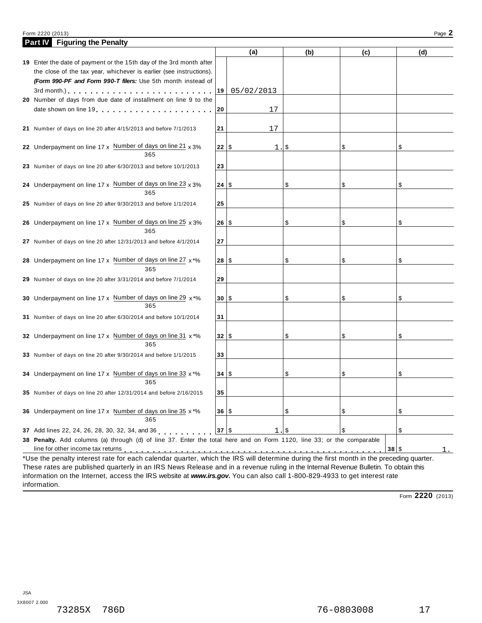### Form <sup>2220</sup> (2013) Page **2**

| Part IV Figuring the Penalty                                                                                                                                                                                                  |      |            |     |     |      |     |
|-------------------------------------------------------------------------------------------------------------------------------------------------------------------------------------------------------------------------------|------|------------|-----|-----|------|-----|
|                                                                                                                                                                                                                               |      | (a)        | (b) | (c) |      | (d) |
| 19 Enter the date of payment or the 15th day of the 3rd month after                                                                                                                                                           |      |            |     |     |      |     |
| the close of the tax year, whichever is earlier (see instructions).                                                                                                                                                           |      |            |     |     |      |     |
| (Form 990-PF and Form 990-T filers: Use 5th month instead of                                                                                                                                                                  |      |            |     |     |      |     |
| 3rd month.) $\ldots$ $\ldots$ $\ldots$ $\ldots$ $\ldots$ $\ldots$ $\ldots$                                                                                                                                                    | 19   | 05/02/2013 |     |     |      |     |
| 20 Number of days from due date of installment on line 9 to the                                                                                                                                                               |      |            |     |     |      |     |
| date shown on line 19 [10] [10] The state is a state of the state in the state in the state of the state in the state in the state in the state in the state in the state in the state in the state in the state in the state | 20   | 17         |     |     |      |     |
|                                                                                                                                                                                                                               |      |            |     |     |      |     |
| 21 Number of days on line 20 after 4/15/2013 and before 7/1/2013                                                                                                                                                              | 21   | 17         |     |     |      |     |
|                                                                                                                                                                                                                               |      |            |     |     |      |     |
| 22 Underpayment on line 17 x Number of days on line 21 x 3%<br>365                                                                                                                                                            | 22 S | 1.         | \$  | \$  | \$   |     |
|                                                                                                                                                                                                                               | 23   |            |     |     |      |     |
| 23 Number of days on line 20 after 6/30/2013 and before 10/1/2013                                                                                                                                                             |      |            |     |     |      |     |
| 24 Underpayment on line 17 x Number of days on line 23 x 3%                                                                                                                                                                   | 24 S |            | \$  | \$  | \$   |     |
| 365                                                                                                                                                                                                                           |      |            |     |     |      |     |
| 25 Number of days on line 20 after 9/30/2013 and before 1/1/2014                                                                                                                                                              | 25   |            |     |     |      |     |
|                                                                                                                                                                                                                               |      |            |     |     |      |     |
| 26 Underpayment on line 17 x Number of days on line 25 x 3%                                                                                                                                                                   | 26 S |            | \$  | \$  | \$   |     |
| 365                                                                                                                                                                                                                           |      |            |     |     |      |     |
| 27 Number of days on line 20 after 12/31/2013 and before 4/1/2014                                                                                                                                                             | 27   |            |     |     |      |     |
|                                                                                                                                                                                                                               |      |            |     |     |      |     |
| 28 Underpayment on line 17 x Number of days on line 27 x*%                                                                                                                                                                    | 28 S |            | \$  | \$  | \$   |     |
| 365                                                                                                                                                                                                                           |      |            |     |     |      |     |
| 29 Number of days on line 20 after 3/31/2014 and before 7/1/2014                                                                                                                                                              | 29   |            |     |     |      |     |
|                                                                                                                                                                                                                               |      |            |     |     |      |     |
| 30 Underpayment on line 17 x Number of days on line 29 x*%<br>365                                                                                                                                                             | 30 S |            | \$  | \$  | \$   |     |
|                                                                                                                                                                                                                               |      |            |     |     |      |     |
| 31 Number of days on line 20 after 6/30/2014 and before 10/1/2014                                                                                                                                                             | 31   |            |     |     |      |     |
| 32 Underpayment on line 17 x Number of days on line 31 x *%                                                                                                                                                                   | 32 S |            | \$  | \$  | \$   |     |
| 365                                                                                                                                                                                                                           |      |            |     |     |      |     |
| 33 Number of days on line 20 after 9/30/2014 and before 1/1/2015                                                                                                                                                              | 33   |            |     |     |      |     |
|                                                                                                                                                                                                                               |      |            |     |     |      |     |
| 34 Underpayment on line 17 x Number of days on line 33 x*%                                                                                                                                                                    | 34 S |            | \$  | \$  | \$   |     |
| 365                                                                                                                                                                                                                           |      |            |     |     |      |     |
| 35 Number of days on line 20 after 12/31/2014 and before 2/16/2015                                                                                                                                                            | 35   |            |     |     |      |     |
|                                                                                                                                                                                                                               |      |            |     |     |      |     |
| 36 Underpayment on line 17 x Number of days on line 35 x *%                                                                                                                                                                   | 36 S |            | \$  | \$  | \$   |     |
| 365                                                                                                                                                                                                                           |      |            |     |     |      |     |
| 37 Add lines 22, 24, 26, 28, 30, 32, 34, and 36                                                                                                                                                                               | 37   | 1.1        |     | \$  | \$   |     |
| 38 Penalty. Add columns (a) through (d) of line 37. Enter the total here and on Form 1120, line 33; or the comparable                                                                                                         |      |            |     |     |      |     |
|                                                                                                                                                                                                                               |      |            |     |     | 38 S | 1.  |
| *Use the penalty interest rate for each calendar quarter, which the IRS will determine during the first month in the preceding quarter.                                                                                       |      |            |     |     |      |     |

These rates are published quarterly in an IRS News Release and in a revenue ruling in the Internal Revenue Bulletin. To obtain this information on the Internet, access the IRS website at *www.irs.gov***.** You can also call 1-800-829-4933 to get interest rate information.

Form **2220** (2013)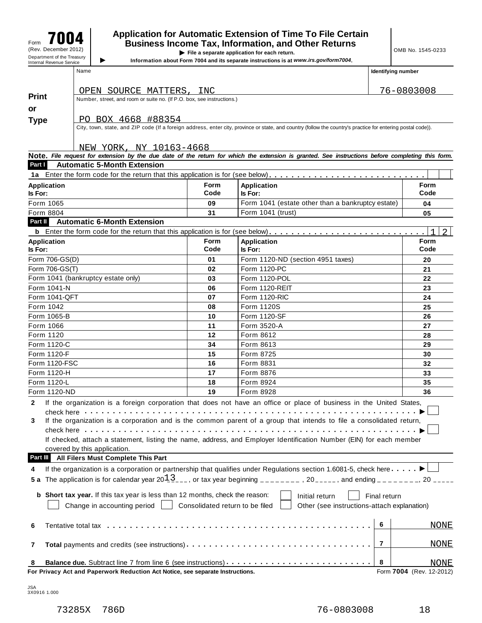## $\begin{array}{c} \mathsf{F}_{\mathsf{G}}\mathsf{F}_{\mathsf{G}}\mathsf{F} \mathsf{F} \mathsf{F} \mathsf{F} \mathsf{F} \mathsf{F} \mathsf{F} \mathsf{F} \mathsf{F} \mathsf{F} \mathsf{F} \mathsf{F} \mathsf{F} \mathsf{F} \mathsf{F} \mathsf{F} \mathsf{F} \mathsf{F} \mathsf{F} \mathsf{F} \mathsf{F} \mathsf{F} \mathsf{F} \mathsf{F} \mathsf{F} \mathsf{F} \mathsf{F} \mathsf{F} \mathsf{F} \mathsf{F} \mathsf{F} \mathsf$ Figure **1990 CONSING ISLANT CONSISTING A**<br>
(Rev. December 2012) **File a separate application for each return.**<br>
Department of the Treasury **of the State of Application is a separate instructions is at www.irs cov/form700**

**IDERTHERE IS a separate application for each return.**<br>Information about Form 7004 and its separate instructions is at *www.irs.gov/form7004*.

| Name | Identifying number |
|------|--------------------|
|      |                    |

|                      | For Privacy Act and Paperwork Reduction Act Notice, see separate Instructions.                                  |                                                   |                                                                                                                                                              | Form 7004 (Rev. 12-2012) |               |  |
|----------------------|-----------------------------------------------------------------------------------------------------------------|---------------------------------------------------|--------------------------------------------------------------------------------------------------------------------------------------------------------------|--------------------------|---------------|--|
| 8                    |                                                                                                                 |                                                   |                                                                                                                                                              | 8                        | NONE          |  |
| 7                    | Total payments and credits (see instructions)                                                                   |                                                   |                                                                                                                                                              |                          |               |  |
| 6                    |                                                                                                                 |                                                   |                                                                                                                                                              | 6                        | <b>NONE</b>   |  |
|                      | Change in accounting period                                                                                     | Consolidated return to be filed                   | Other (see instructions-attach explanation)                                                                                                                  |                          |               |  |
|                      | b Short tax year. If this tax year is less than 12 months, check the reason:                                    |                                                   | Initial return                                                                                                                                               | Final return             |               |  |
|                      |                                                                                                                 |                                                   |                                                                                                                                                              |                          |               |  |
|                      |                                                                                                                 |                                                   | 5 a The application is for calendar year $20\frac{13}{2}$ , or tax year beginning _______, 20_____, and ending ______, 20 _____                              |                          |               |  |
| 4                    |                                                                                                                 |                                                   | If the organization is a corporation or partnership that qualifies under Regulations section 1.6081-5, check here                                            |                          |               |  |
| Part III             | All Filers Must Complete This Part                                                                              |                                                   |                                                                                                                                                              |                          |               |  |
|                      | covered by this application.                                                                                    |                                                   | If checked, attach a statement, listing the name, address, and Employer Identification Number (EIN) for each member                                          |                          |               |  |
|                      |                                                                                                                 |                                                   |                                                                                                                                                              |                          |               |  |
| 3                    |                                                                                                                 |                                                   | If the organization is a corporation and is the common parent of a group that intends to file a consolidated return,                                         |                          |               |  |
|                      | check here with the contract to the check here is a set of the contract of the check here is a set of the check |                                                   |                                                                                                                                                              |                          |               |  |
| $\mathbf{2}$         |                                                                                                                 |                                                   | If the organization is a foreign corporation that does not have an office or place of business in the United States,                                         |                          |               |  |
| Form 1120-ND         |                                                                                                                 | 19                                                | Form 8928                                                                                                                                                    |                          | 36            |  |
| Form 1120-L          |                                                                                                                 | 18                                                | Form 8924                                                                                                                                                    |                          | 35            |  |
| Form 1120-H          |                                                                                                                 | 17                                                | Form 8876                                                                                                                                                    |                          | 33            |  |
| <b>Form 1120-FSC</b> |                                                                                                                 | 16                                                | Form 8831                                                                                                                                                    | 32                       |               |  |
| Form 1120-F          |                                                                                                                 | 15                                                | Form 8725                                                                                                                                                    | 30                       |               |  |
| Form 1120-C          |                                                                                                                 | 34                                                | Form 8613                                                                                                                                                    |                          | 29            |  |
| Form 1120            |                                                                                                                 | 12                                                | Form 8612                                                                                                                                                    |                          | 28            |  |
| Form 1066            |                                                                                                                 | 11                                                | Form 3520-A                                                                                                                                                  |                          | 27            |  |
| Form 1065-B          |                                                                                                                 | 10                                                | Form 1120-SF                                                                                                                                                 |                          | 26            |  |
| Form 1042            |                                                                                                                 | 08                                                | Form 1120S                                                                                                                                                   |                          | 25            |  |
| Form 1041-QFT        |                                                                                                                 | 07                                                | <b>Form 1120-RIC</b>                                                                                                                                         |                          | 23<br>24      |  |
| Form 1041-N          | Form 1041 (bankruptcy estate only)                                                                              | 03<br>06                                          | Form 1120-POL<br>Form 1120-REIT                                                                                                                              |                          | 22            |  |
| Form 706-GS(T)       |                                                                                                                 | 02                                                | Form 1120-PC                                                                                                                                                 |                          | 21            |  |
| Form 706-GS(D)       |                                                                                                                 | 01                                                | Form 1120-ND (section 4951 taxes)                                                                                                                            |                          | 20            |  |
| Is For:              |                                                                                                                 | Code                                              | Is For:                                                                                                                                                      |                          | Code          |  |
| <b>Application</b>   |                                                                                                                 | <b>Form</b>                                       | <b>Application</b>                                                                                                                                           |                          | Form          |  |
|                      |                                                                                                                 |                                                   |                                                                                                                                                              |                          | $\mathcal{L}$ |  |
| Part II              | <b>Automatic 6-Month Extension</b>                                                                              |                                                   |                                                                                                                                                              |                          |               |  |
| Form 8804            |                                                                                                                 | 31                                                | Form 1041 (trust)                                                                                                                                            |                          | 05            |  |
| Form 1065            |                                                                                                                 | Form 1041 (estate other than a bankruptcy estate) |                                                                                                                                                              | 04                       |               |  |
| Is For:              |                                                                                                                 | Code                                              | Is For:                                                                                                                                                      |                          | Code          |  |
| <b>Application</b>   |                                                                                                                 | <b>Form</b>                                       | Application                                                                                                                                                  |                          | Form          |  |
|                      |                                                                                                                 |                                                   | 1a Enter the form code for the return that this application is for (see below)                                                                               |                          |               |  |
| Part I               | <b>Automatic 5-Month Extension</b>                                                                              |                                                   |                                                                                                                                                              |                          |               |  |
|                      | NEW YORK, NY 10163-4668                                                                                         |                                                   | Note. File request for extension by the due date of the return for which the extension is granted. See instructions before completing this form.             |                          |               |  |
|                      |                                                                                                                 |                                                   |                                                                                                                                                              |                          |               |  |
|                      |                                                                                                                 |                                                   | City, town, state, and ZIP code (If a foreign address, enter city, province or state, and country (follow the country's practice for entering postal code)). |                          |               |  |
| <b>Type</b>          | PO BOX 4668 #88354                                                                                              |                                                   |                                                                                                                                                              |                          |               |  |
| or                   |                                                                                                                 |                                                   |                                                                                                                                                              |                          |               |  |
| <b>Print</b>         | Number, street, and room or suite no. (If P.O. box, see instructions.)                                          |                                                   |                                                                                                                                                              |                          |               |  |
|                      | OPEN SOURCE MATTERS, INC                                                                                        |                                                   |                                                                                                                                                              | 76-0803008               |               |  |

JSA 3X0916 1.000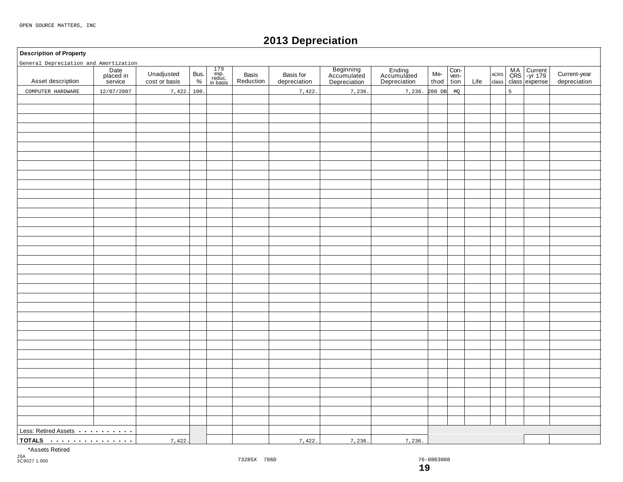## **2013 Depreciation**

### **Description of Property**

| General Depreciation and Amortization            |                              |                             |              |                                                                                        |                    |                           |                                          |                                       |             |                      |      |                     |                |                                            |                              |
|--------------------------------------------------|------------------------------|-----------------------------|--------------|----------------------------------------------------------------------------------------|--------------------|---------------------------|------------------------------------------|---------------------------------------|-------------|----------------------|------|---------------------|----------------|--------------------------------------------|------------------------------|
| Asset description                                | Date<br>placed in<br>service | Unadjusted<br>cost or basis | Bus.<br>$\%$ | $\begin{array}{c} 179 \\ \text{exp.} \\ \text{reduce.} \\ \text{in basis} \end{array}$ | Basis<br>Reduction | Basis for<br>depreciation | Beginning<br>Accumulated<br>Depreciation | Ending<br>Accumulated<br>Depreciation | Me-<br>thod | Con-<br>ven-<br>tion | Life | $\sf ACRS$<br>class |                | MA Current<br>CRS -yr 179<br>class expense | Current-year<br>depreciation |
| COMPUTER HARDWARE                                | 12/07/2007                   | 7,422.                      | 100          |                                                                                        |                    | 7,422                     | 7,236                                    | 7,236. 200 DB                         |             | MQ                   |      |                     | $\overline{5}$ |                                            |                              |
|                                                  |                              |                             |              |                                                                                        |                    |                           |                                          |                                       |             |                      |      |                     |                |                                            |                              |
|                                                  |                              |                             |              |                                                                                        |                    |                           |                                          |                                       |             |                      |      |                     |                |                                            |                              |
|                                                  |                              |                             |              |                                                                                        |                    |                           |                                          |                                       |             |                      |      |                     |                |                                            |                              |
|                                                  |                              |                             |              |                                                                                        |                    |                           |                                          |                                       |             |                      |      |                     |                |                                            |                              |
|                                                  |                              |                             |              |                                                                                        |                    |                           |                                          |                                       |             |                      |      |                     |                |                                            |                              |
|                                                  |                              |                             |              |                                                                                        |                    |                           |                                          |                                       |             |                      |      |                     |                |                                            |                              |
|                                                  |                              |                             |              |                                                                                        |                    |                           |                                          |                                       |             |                      |      |                     |                |                                            |                              |
|                                                  |                              |                             |              |                                                                                        |                    |                           |                                          |                                       |             |                      |      |                     |                |                                            |                              |
|                                                  |                              |                             |              |                                                                                        |                    |                           |                                          |                                       |             |                      |      |                     |                |                                            |                              |
|                                                  |                              |                             |              |                                                                                        |                    |                           |                                          |                                       |             |                      |      |                     |                |                                            |                              |
|                                                  |                              |                             |              |                                                                                        |                    |                           |                                          |                                       |             |                      |      |                     |                |                                            |                              |
|                                                  |                              |                             |              |                                                                                        |                    |                           |                                          |                                       |             |                      |      |                     |                |                                            |                              |
|                                                  |                              |                             |              |                                                                                        |                    |                           |                                          |                                       |             |                      |      |                     |                |                                            |                              |
|                                                  |                              |                             |              |                                                                                        |                    |                           |                                          |                                       |             |                      |      |                     |                |                                            |                              |
|                                                  |                              |                             |              |                                                                                        |                    |                           |                                          |                                       |             |                      |      |                     |                |                                            |                              |
|                                                  |                              |                             |              |                                                                                        |                    |                           |                                          |                                       |             |                      |      |                     |                |                                            |                              |
|                                                  |                              |                             |              |                                                                                        |                    |                           |                                          |                                       |             |                      |      |                     |                |                                            |                              |
|                                                  |                              |                             |              |                                                                                        |                    |                           |                                          |                                       |             |                      |      |                     |                |                                            |                              |
|                                                  |                              |                             |              |                                                                                        |                    |                           |                                          |                                       |             |                      |      |                     |                |                                            |                              |
|                                                  |                              |                             |              |                                                                                        |                    |                           |                                          |                                       |             |                      |      |                     |                |                                            |                              |
|                                                  |                              |                             |              |                                                                                        |                    |                           |                                          |                                       |             |                      |      |                     |                |                                            |                              |
|                                                  |                              |                             |              |                                                                                        |                    |                           |                                          |                                       |             |                      |      |                     |                |                                            |                              |
|                                                  |                              |                             |              |                                                                                        |                    |                           |                                          |                                       |             |                      |      |                     |                |                                            |                              |
|                                                  |                              |                             |              |                                                                                        |                    |                           |                                          |                                       |             |                      |      |                     |                |                                            |                              |
|                                                  |                              |                             |              |                                                                                        |                    |                           |                                          |                                       |             |                      |      |                     |                |                                            |                              |
|                                                  |                              |                             |              |                                                                                        |                    |                           |                                          |                                       |             |                      |      |                     |                |                                            |                              |
|                                                  |                              |                             |              |                                                                                        |                    |                           |                                          |                                       |             |                      |      |                     |                |                                            |                              |
|                                                  |                              |                             |              |                                                                                        |                    |                           |                                          |                                       |             |                      |      |                     |                |                                            |                              |
|                                                  |                              |                             |              |                                                                                        |                    |                           |                                          |                                       |             |                      |      |                     |                |                                            |                              |
|                                                  |                              |                             |              |                                                                                        |                    |                           |                                          |                                       |             |                      |      |                     |                |                                            |                              |
|                                                  |                              |                             |              |                                                                                        |                    |                           |                                          |                                       |             |                      |      |                     |                |                                            |                              |
|                                                  |                              |                             |              |                                                                                        |                    |                           |                                          |                                       |             |                      |      |                     |                |                                            |                              |
|                                                  |                              |                             |              |                                                                                        |                    |                           |                                          |                                       |             |                      |      |                     |                |                                            |                              |
|                                                  |                              |                             |              |                                                                                        |                    |                           |                                          |                                       |             |                      |      |                     |                |                                            |                              |
|                                                  |                              |                             |              |                                                                                        |                    |                           |                                          |                                       |             |                      |      |                     |                |                                            |                              |
|                                                  |                              |                             |              |                                                                                        |                    |                           |                                          |                                       |             |                      |      |                     |                |                                            |                              |
| Less: Retired Assets <b>Container and Theory</b> |                              |                             |              |                                                                                        |                    |                           |                                          |                                       |             |                      |      |                     |                |                                            |                              |
|                                                  |                              |                             |              |                                                                                        |                    |                           |                                          |                                       |             |                      |      |                     |                |                                            |                              |
|                                                  |                              | 7,422.                      |              |                                                                                        |                    | 7,422.                    | 7,236.                                   | 7,236.                                |             |                      |      |                     |                |                                            |                              |

\*Assets Retired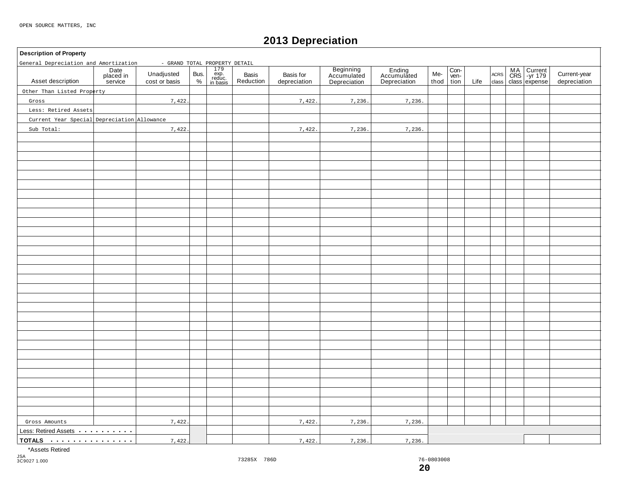## **2013 Depreciation**

### **Description of Property**

| General Depreciation and Amortization       |                              | - GRAND TOTAL PROPERTY DETAIL |              |                                                                                                                         |                    |                           |                                          |                                       |             |                      |      |                     |                                    |                              |
|---------------------------------------------|------------------------------|-------------------------------|--------------|-------------------------------------------------------------------------------------------------------------------------|--------------------|---------------------------|------------------------------------------|---------------------------------------|-------------|----------------------|------|---------------------|------------------------------------|------------------------------|
| Asset description                           | Date<br>placed in<br>service | Unadjusted<br>cost or basis   | Bus.<br>$\%$ | $\begin{array}{c}\n 179 \\  \hline\n 179 \\  \hline\n \text{exp.} \\  \text{reduce.} \\  \text{in basis}\n \end{array}$ | Basis<br>Reduction | Basis for<br>depreciation | Beginning<br>Accumulated<br>Depreciation | Ending<br>Accumulated<br>Depreciation | Me-<br>thod | Con-<br>ven-<br>tion | Life | $\sf ACRS$<br>class | MA<br>CRS -yr 179<br>class expense | Current-year<br>depreciation |
| Other Than Listed Property                  |                              |                               |              |                                                                                                                         |                    |                           |                                          |                                       |             |                      |      |                     |                                    |                              |
| Gross                                       |                              | 7,422.                        |              |                                                                                                                         |                    | 7,422.                    | 7,236.                                   | 7,236.                                |             |                      |      |                     |                                    |                              |
| Less: Retired Assets                        |                              |                               |              |                                                                                                                         |                    |                           |                                          |                                       |             |                      |      |                     |                                    |                              |
| Current Year Special Depreciation Allowance |                              |                               |              |                                                                                                                         |                    |                           |                                          |                                       |             |                      |      |                     |                                    |                              |
| Sub Total:                                  |                              | 7,422.                        |              |                                                                                                                         |                    | 7,422.                    | 7,236.                                   | 7,236.                                |             |                      |      |                     |                                    |                              |
|                                             |                              |                               |              |                                                                                                                         |                    |                           |                                          |                                       |             |                      |      |                     |                                    |                              |
|                                             |                              |                               |              |                                                                                                                         |                    |                           |                                          |                                       |             |                      |      |                     |                                    |                              |
|                                             |                              |                               |              |                                                                                                                         |                    |                           |                                          |                                       |             |                      |      |                     |                                    |                              |
|                                             |                              |                               |              |                                                                                                                         |                    |                           |                                          |                                       |             |                      |      |                     |                                    |                              |
|                                             |                              |                               |              |                                                                                                                         |                    |                           |                                          |                                       |             |                      |      |                     |                                    |                              |
|                                             |                              |                               |              |                                                                                                                         |                    |                           |                                          |                                       |             |                      |      |                     |                                    |                              |
|                                             |                              |                               |              |                                                                                                                         |                    |                           |                                          |                                       |             |                      |      |                     |                                    |                              |
|                                             |                              |                               |              |                                                                                                                         |                    |                           |                                          |                                       |             |                      |      |                     |                                    |                              |
|                                             |                              |                               |              |                                                                                                                         |                    |                           |                                          |                                       |             |                      |      |                     |                                    |                              |
|                                             |                              |                               |              |                                                                                                                         |                    |                           |                                          |                                       |             |                      |      |                     |                                    |                              |
|                                             |                              |                               |              |                                                                                                                         |                    |                           |                                          |                                       |             |                      |      |                     |                                    |                              |
|                                             |                              |                               |              |                                                                                                                         |                    |                           |                                          |                                       |             |                      |      |                     |                                    |                              |
|                                             |                              |                               |              |                                                                                                                         |                    |                           |                                          |                                       |             |                      |      |                     |                                    |                              |
|                                             |                              |                               |              |                                                                                                                         |                    |                           |                                          |                                       |             |                      |      |                     |                                    |                              |
|                                             |                              |                               |              |                                                                                                                         |                    |                           |                                          |                                       |             |                      |      |                     |                                    |                              |
|                                             |                              |                               |              |                                                                                                                         |                    |                           |                                          |                                       |             |                      |      |                     |                                    |                              |
|                                             |                              |                               |              |                                                                                                                         |                    |                           |                                          |                                       |             |                      |      |                     |                                    |                              |
|                                             |                              |                               |              |                                                                                                                         |                    |                           |                                          |                                       |             |                      |      |                     |                                    |                              |
|                                             |                              |                               |              |                                                                                                                         |                    |                           |                                          |                                       |             |                      |      |                     |                                    |                              |
|                                             |                              |                               |              |                                                                                                                         |                    |                           |                                          |                                       |             |                      |      |                     |                                    |                              |
|                                             |                              |                               |              |                                                                                                                         |                    |                           |                                          |                                       |             |                      |      |                     |                                    |                              |
|                                             |                              |                               |              |                                                                                                                         |                    |                           |                                          |                                       |             |                      |      |                     |                                    |                              |
|                                             |                              |                               |              |                                                                                                                         |                    |                           |                                          |                                       |             |                      |      |                     |                                    |                              |
|                                             |                              |                               |              |                                                                                                                         |                    |                           |                                          |                                       |             |                      |      |                     |                                    |                              |
|                                             |                              |                               |              |                                                                                                                         |                    |                           |                                          |                                       |             |                      |      |                     |                                    |                              |
|                                             |                              |                               |              |                                                                                                                         |                    |                           |                                          |                                       |             |                      |      |                     |                                    |                              |
|                                             |                              |                               |              |                                                                                                                         |                    |                           |                                          |                                       |             |                      |      |                     |                                    |                              |
|                                             |                              |                               |              |                                                                                                                         |                    |                           |                                          |                                       |             |                      |      |                     |                                    |                              |
|                                             |                              |                               |              |                                                                                                                         |                    |                           |                                          |                                       |             |                      |      |                     |                                    |                              |
|                                             |                              |                               |              |                                                                                                                         |                    |                           |                                          |                                       |             |                      |      |                     |                                    |                              |
| Gross Amounts                               |                              | 7,422.                        |              |                                                                                                                         |                    | 7,422.                    | 7,236.                                   | 7,236.                                |             |                      |      |                     |                                    |                              |
| Less: Retired Assets                        |                              |                               |              |                                                                                                                         |                    |                           |                                          |                                       |             |                      |      |                     |                                    |                              |
| TOTALS                                      |                              | 7,422.                        |              |                                                                                                                         |                    | 7,422.                    | 7,236.                                   | 7,236.                                |             |                      |      |                     |                                    |                              |

\*Assets Retired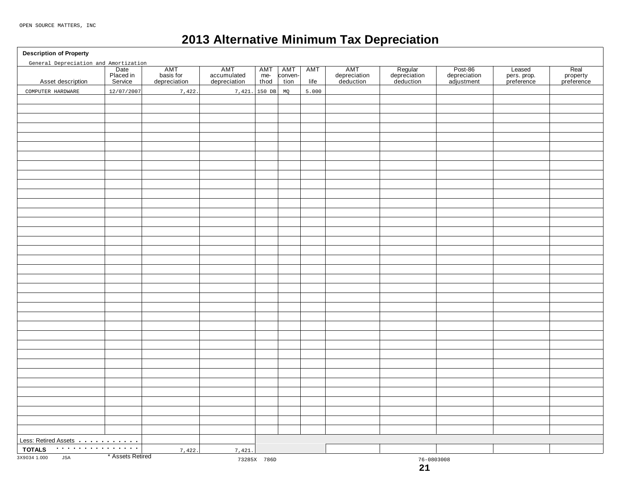## **2013 Alternative Minimum Tax Depreciation**

**Description of Property**

| General Depreciation and Amortization |                              |                                  |                                    |                      |                        |                    |                                  |                                      |                                       |                                     |                                |
|---------------------------------------|------------------------------|----------------------------------|------------------------------------|----------------------|------------------------|--------------------|----------------------------------|--------------------------------------|---------------------------------------|-------------------------------------|--------------------------------|
| Asset description                     | Date<br>Placed in<br>Service | AMT<br>basis for<br>depreciation | AMT<br>accumulated<br>depreciation | AMT<br>$me-$<br>thod | AMT<br>conven-<br>tion | <b>AMT</b><br>life | AMT<br>depreciation<br>deduction | Regular<br>depreciation<br>deduction | Post-86<br>depreciation<br>adjustment | Leased<br>pers. prop.<br>preference | Real<br>property<br>preference |
| COMPUTER HARDWARE                     | 12/07/2007                   | 7,422.                           | 7,421.                             | 150 DB               | MQ                     | 5.000              |                                  |                                      |                                       |                                     |                                |
|                                       |                              |                                  |                                    |                      |                        |                    |                                  |                                      |                                       |                                     |                                |
|                                       |                              |                                  |                                    |                      |                        |                    |                                  |                                      |                                       |                                     |                                |
|                                       |                              |                                  |                                    |                      |                        |                    |                                  |                                      |                                       |                                     |                                |
|                                       |                              |                                  |                                    |                      |                        |                    |                                  |                                      |                                       |                                     |                                |
|                                       |                              |                                  |                                    |                      |                        |                    |                                  |                                      |                                       |                                     |                                |
|                                       |                              |                                  |                                    |                      |                        |                    |                                  |                                      |                                       |                                     |                                |
|                                       |                              |                                  |                                    |                      |                        |                    |                                  |                                      |                                       |                                     |                                |
|                                       |                              |                                  |                                    |                      |                        |                    |                                  |                                      |                                       |                                     |                                |
|                                       |                              |                                  |                                    |                      |                        |                    |                                  |                                      |                                       |                                     |                                |
|                                       |                              |                                  |                                    |                      |                        |                    |                                  |                                      |                                       |                                     |                                |
|                                       |                              |                                  |                                    |                      |                        |                    |                                  |                                      |                                       |                                     |                                |
|                                       |                              |                                  |                                    |                      |                        |                    |                                  |                                      |                                       |                                     |                                |
|                                       |                              |                                  |                                    |                      |                        |                    |                                  |                                      |                                       |                                     |                                |
|                                       |                              |                                  |                                    |                      |                        |                    |                                  |                                      |                                       |                                     |                                |
|                                       |                              |                                  |                                    |                      |                        |                    |                                  |                                      |                                       |                                     |                                |
|                                       |                              |                                  |                                    |                      |                        |                    |                                  |                                      |                                       |                                     |                                |
|                                       |                              |                                  |                                    |                      |                        |                    |                                  |                                      |                                       |                                     |                                |
|                                       |                              |                                  |                                    |                      |                        |                    |                                  |                                      |                                       |                                     |                                |
|                                       |                              |                                  |                                    |                      |                        |                    |                                  |                                      |                                       |                                     |                                |
|                                       |                              |                                  |                                    |                      |                        |                    |                                  |                                      |                                       |                                     |                                |
|                                       |                              |                                  |                                    |                      |                        |                    |                                  |                                      |                                       |                                     |                                |
|                                       |                              |                                  |                                    |                      |                        |                    |                                  |                                      |                                       |                                     |                                |
|                                       |                              |                                  |                                    |                      |                        |                    |                                  |                                      |                                       |                                     |                                |
|                                       |                              |                                  |                                    |                      |                        |                    |                                  |                                      |                                       |                                     |                                |
|                                       |                              |                                  |                                    |                      |                        |                    |                                  |                                      |                                       |                                     |                                |
|                                       |                              |                                  |                                    |                      |                        |                    |                                  |                                      |                                       |                                     |                                |
|                                       |                              |                                  |                                    |                      |                        |                    |                                  |                                      |                                       |                                     |                                |
|                                       |                              |                                  |                                    |                      |                        |                    |                                  |                                      |                                       |                                     |                                |
|                                       |                              |                                  |                                    |                      |                        |                    |                                  |                                      |                                       |                                     |                                |
|                                       |                              |                                  |                                    |                      |                        |                    |                                  |                                      |                                       |                                     |                                |
|                                       |                              |                                  |                                    |                      |                        |                    |                                  |                                      |                                       |                                     |                                |
|                                       |                              |                                  |                                    |                      |                        |                    |                                  |                                      |                                       |                                     |                                |
|                                       |                              |                                  |                                    |                      |                        |                    |                                  |                                      |                                       |                                     |                                |
|                                       |                              |                                  |                                    |                      |                        |                    |                                  |                                      |                                       |                                     |                                |
|                                       |                              |                                  |                                    |                      |                        |                    |                                  |                                      |                                       |                                     |                                |
|                                       |                              |                                  |                                    |                      |                        |                    |                                  |                                      |                                       |                                     |                                |
| Less: Retired Assets                  |                              |                                  |                                    |                      |                        |                    |                                  |                                      |                                       |                                     |                                |
| .<br><b>TOTALS</b>                    |                              |                                  |                                    |                      |                        |                    |                                  |                                      |                                       |                                     |                                |
| 3X9034 1.000<br><b>JSA</b>            | * Assets Retired             | 7,422.                           | 7,421.                             |                      |                        |                    |                                  |                                      |                                       |                                     |                                |
|                                       |                              |                                  |                                    | 73285X 786D          |                        |                    |                                  | $76 - 0803008$<br>21                 |                                       |                                     |                                |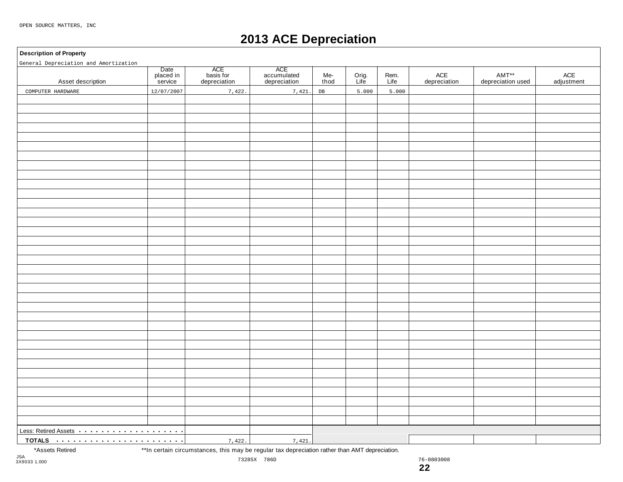## **2013 ACE Depreciation**

### **Description of Property**

| General Depreciation and Amortization                         |                              |                                  |                                    |             |               |              |                     |                            |                   |
|---------------------------------------------------------------|------------------------------|----------------------------------|------------------------------------|-------------|---------------|--------------|---------------------|----------------------------|-------------------|
| Asset description                                             | Date<br>placed in<br>service | ACE<br>basis for<br>depreciation | ACE<br>accumulated<br>depreciation | Me-<br>thod | Orig.<br>Life | Rem.<br>Life | ACE<br>depreciation | AMT**<br>depreciation used | ACE<br>adjustment |
| COMPUTER HARDWARE                                             | 12/07/2007                   | 7,422.                           | 7,421.                             | DB          | 5.000         | 5.000        |                     |                            |                   |
|                                                               |                              |                                  |                                    |             |               |              |                     |                            |                   |
|                                                               |                              |                                  |                                    |             |               |              |                     |                            |                   |
|                                                               |                              |                                  |                                    |             |               |              |                     |                            |                   |
|                                                               |                              |                                  |                                    |             |               |              |                     |                            |                   |
|                                                               |                              |                                  |                                    |             |               |              |                     |                            |                   |
|                                                               |                              |                                  |                                    |             |               |              |                     |                            |                   |
|                                                               |                              |                                  |                                    |             |               |              |                     |                            |                   |
|                                                               |                              |                                  |                                    |             |               |              |                     |                            |                   |
|                                                               |                              |                                  |                                    |             |               |              |                     |                            |                   |
|                                                               |                              |                                  |                                    |             |               |              |                     |                            |                   |
|                                                               |                              |                                  |                                    |             |               |              |                     |                            |                   |
|                                                               |                              |                                  |                                    |             |               |              |                     |                            |                   |
|                                                               |                              |                                  |                                    |             |               |              |                     |                            |                   |
|                                                               |                              |                                  |                                    |             |               |              |                     |                            |                   |
|                                                               |                              |                                  |                                    |             |               |              |                     |                            |                   |
|                                                               |                              |                                  |                                    |             |               |              |                     |                            |                   |
|                                                               |                              |                                  |                                    |             |               |              |                     |                            |                   |
|                                                               |                              |                                  |                                    |             |               |              |                     |                            |                   |
|                                                               |                              |                                  |                                    |             |               |              |                     |                            |                   |
|                                                               |                              |                                  |                                    |             |               |              |                     |                            |                   |
|                                                               |                              |                                  |                                    |             |               |              |                     |                            |                   |
|                                                               |                              |                                  |                                    |             |               |              |                     |                            |                   |
|                                                               |                              |                                  |                                    |             |               |              |                     |                            |                   |
|                                                               |                              |                                  |                                    |             |               |              |                     |                            |                   |
|                                                               |                              |                                  |                                    |             |               |              |                     |                            |                   |
|                                                               |                              |                                  |                                    |             |               |              |                     |                            |                   |
|                                                               |                              |                                  |                                    |             |               |              |                     |                            |                   |
|                                                               |                              |                                  |                                    |             |               |              |                     |                            |                   |
|                                                               |                              |                                  |                                    |             |               |              |                     |                            |                   |
|                                                               |                              |                                  |                                    |             |               |              |                     |                            |                   |
|                                                               |                              |                                  |                                    |             |               |              |                     |                            |                   |
|                                                               |                              |                                  |                                    |             |               |              |                     |                            |                   |
|                                                               |                              |                                  |                                    |             |               |              |                     |                            |                   |
|                                                               |                              |                                  |                                    |             |               |              |                     |                            |                   |
|                                                               |                              |                                  |                                    |             |               |              |                     |                            |                   |
| Less: Retired Assets <b>Acceleration</b> Less: Retired Assets |                              |                                  |                                    |             |               |              |                     |                            |                   |
|                                                               |                              | 7,422.                           | 7,421.                             |             |               |              |                     |                            |                   |

\*Assets Retired \*\*In certain circumstances, this may be regular tax depreciation rather than AMT depreciation.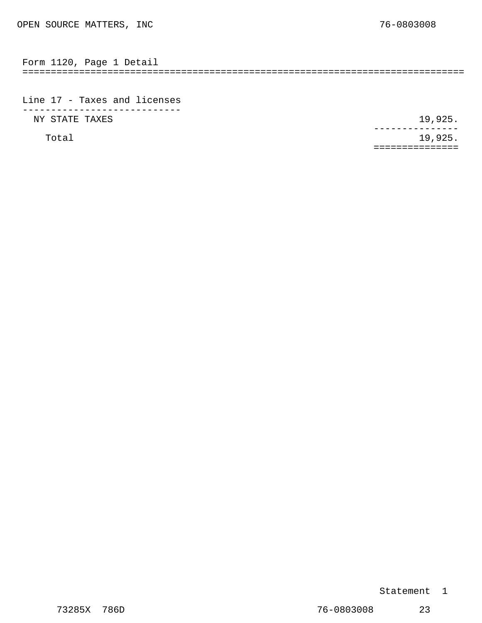<span id="page-14-0"></span>

| Form | 1120 | Page | Detaii |  |
|------|------|------|--------|--|
|      |      |      |        |  |

Line 17 - Taxes and licenses ---------------------------- NY STATE TAXES 19,925.

Total 19,925. --------------- ===============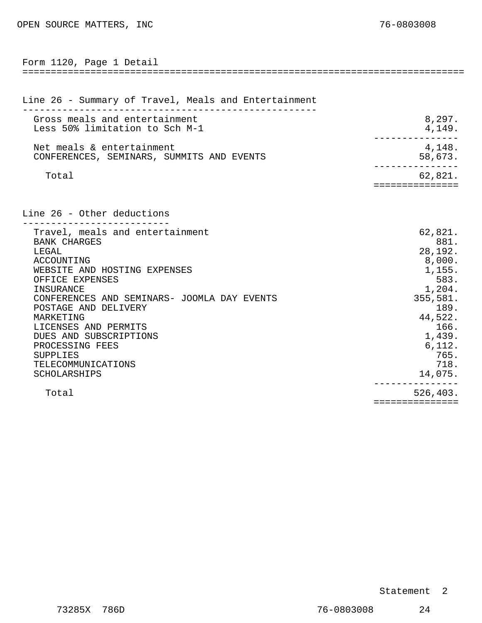<span id="page-15-0"></span>

| Form 1120, Page 1 Detail                                                                                                                                                                                                                                                                                                                                 |                                                                                                                                                         |
|----------------------------------------------------------------------------------------------------------------------------------------------------------------------------------------------------------------------------------------------------------------------------------------------------------------------------------------------------------|---------------------------------------------------------------------------------------------------------------------------------------------------------|
|                                                                                                                                                                                                                                                                                                                                                          |                                                                                                                                                         |
| Line 26 - Summary of Travel, Meals and Entertainment                                                                                                                                                                                                                                                                                                     |                                                                                                                                                         |
| Gross meals and entertainment<br>Less 50% limitation to Sch M-1                                                                                                                                                                                                                                                                                          | 8,297.<br>4,149.                                                                                                                                        |
| Net meals & entertainment<br>CONFERENCES, SEMINARS, SUMMITS AND EVENTS                                                                                                                                                                                                                                                                                   | 4,148.<br>58,673.                                                                                                                                       |
| Total                                                                                                                                                                                                                                                                                                                                                    | 62,821.<br>===============                                                                                                                              |
| Line 26 - Other deductions                                                                                                                                                                                                                                                                                                                               |                                                                                                                                                         |
| Travel, meals and entertainment<br><b>BANK CHARGES</b><br>LEGAL<br>ACCOUNTING<br>WEBSITE AND HOSTING EXPENSES<br>OFFICE EXPENSES<br>INSURANCE<br>CONFERENCES AND SEMINARS- JOOMLA DAY EVENTS<br>POSTAGE AND DELIVERY<br>MARKETING<br>LICENSES AND PERMITS<br>DUES AND SUBSCRIPTIONS<br>PROCESSING FEES<br>SUPPLIES<br>TELECOMMUNICATIONS<br>SCHOLARSHIPS | 62,821.<br>881.<br>28,192.<br>8,000.<br>1,155.<br>583.<br>1,204.<br>355,581.<br>189.<br>44,522.<br>166.<br>1,439.<br>6, 112.<br>765.<br>718.<br>14,075. |
| Total                                                                                                                                                                                                                                                                                                                                                    | 526,403.<br>===============                                                                                                                             |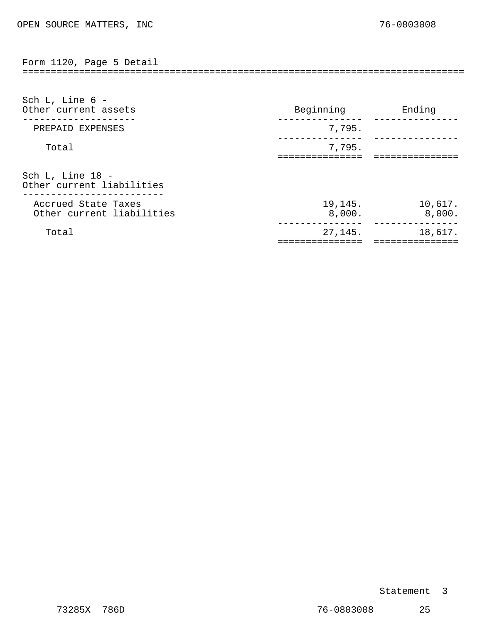<span id="page-16-0"></span>============================================================================== Form 1120, Page 5 Detail

| Sch L, Line $6 -$<br>Other current assets        | Beginning         | Ending            |
|--------------------------------------------------|-------------------|-------------------|
| PREPAID EXPENSES                                 | 7,795.            |                   |
| Total                                            | 7,795.            |                   |
| Sch L, Line 18 -<br>Other current liabilities    |                   |                   |
| Accrued State Taxes<br>Other current liabilities | 19,145.<br>8,000. | 10,617.<br>8,000. |
| Total                                            | 27,145.           | 18,617.           |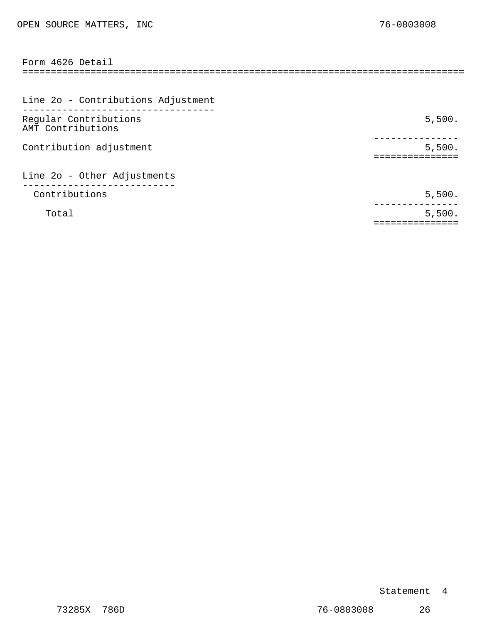<span id="page-17-0"></span>

| Form 4626 Detail                           |        |
|--------------------------------------------|--------|
|                                            |        |
| Line 2o - Contributions Adjustment         |        |
| Regular Contributions<br>AMT Contributions | 5,500. |
| Contribution adjustment                    | 5,500. |
| Line 2o - Other Adjustments                |        |
| Contributions                              | 5,500. |
| Total                                      | 5,500. |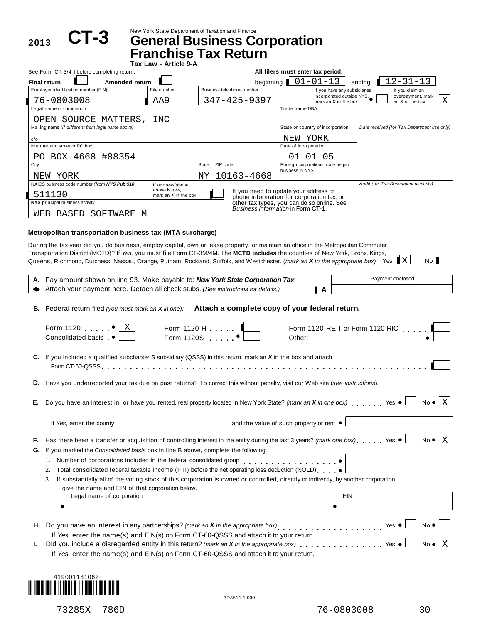2013 **CT-3** 

New York State Department of Taxation and Finance **CT-3 General Business Corporation**

|                                                                                                                                                                                                                                                                                                                                  | <b>Franchise Tax Return</b>             |                   |                                                                                    |                                            |                                                           |        |                                             |  |  |
|----------------------------------------------------------------------------------------------------------------------------------------------------------------------------------------------------------------------------------------------------------------------------------------------------------------------------------|-----------------------------------------|-------------------|------------------------------------------------------------------------------------|--------------------------------------------|-----------------------------------------------------------|--------|---------------------------------------------|--|--|
| See Form CT-3/4-I before completing return.                                                                                                                                                                                                                                                                                      | Tax Law - Article 9-A                   |                   |                                                                                    | All filers must enter tax period:          |                                                           |        |                                             |  |  |
| <b>Final return</b><br>Amended return                                                                                                                                                                                                                                                                                            |                                         |                   | beginning                                                                          |                                            | $01 - 01 - 13$                                            | endina | $12 - 31 - 13$                              |  |  |
| Employer identification number (EIN)                                                                                                                                                                                                                                                                                             | File number                             |                   | Business telephone number                                                          |                                            | If you have any subsidiaries<br>incorporated outside NYS, |        | If you claim an<br>overpayment, mark        |  |  |
| 76-0803008<br>Legal name of corporation                                                                                                                                                                                                                                                                                          | AA9                                     |                   | $347 - 425 - 9397$                                                                 | Trade name/DBA                             | mark an $X$ in the box                                    |        | X<br>an $X$ in the box                      |  |  |
|                                                                                                                                                                                                                                                                                                                                  |                                         |                   |                                                                                    |                                            |                                                           |        |                                             |  |  |
| OPEN SOURCE MATTERS,<br>Mailing name (if different from legal name above)                                                                                                                                                                                                                                                        | INC                                     |                   |                                                                                    |                                            | State or country of incorporation                         |        | Date received (for Tax Department use only) |  |  |
|                                                                                                                                                                                                                                                                                                                                  |                                         |                   |                                                                                    |                                            |                                                           |        |                                             |  |  |
| c/o                                                                                                                                                                                                                                                                                                                              |                                         |                   |                                                                                    | NEW YORK                                   |                                                           |        |                                             |  |  |
| Number and street or PO box                                                                                                                                                                                                                                                                                                      |                                         |                   |                                                                                    | Date of incorporation                      |                                                           |        |                                             |  |  |
| BOX 4668 #88354<br>PO.                                                                                                                                                                                                                                                                                                           |                                         |                   |                                                                                    | $01 - 01 - 05$                             |                                                           |        |                                             |  |  |
| City                                                                                                                                                                                                                                                                                                                             |                                         | ZIP code<br>State |                                                                                    | business in NYS                            | Foreign corporations: date began                          |        |                                             |  |  |
| NEW YORK                                                                                                                                                                                                                                                                                                                         |                                         | ΝY                | 10163-4668                                                                         |                                            |                                                           |        |                                             |  |  |
| NAICS business code number (from NYS Pub 910)                                                                                                                                                                                                                                                                                    | If address/phone                        |                   |                                                                                    |                                            |                                                           |        | Audit (for Tax Department use only)         |  |  |
| ∎ 511130                                                                                                                                                                                                                                                                                                                         | above is new.<br>mark an $X$ in the box |                   | If you need to update your address or<br>phone information for corporation tax, or |                                            |                                                           |        |                                             |  |  |
| NYS principal business activity                                                                                                                                                                                                                                                                                                  |                                         |                   |                                                                                    | other tax types, you can do so online. See |                                                           |        |                                             |  |  |
| SOFTWARE<br>BASED<br>WEB<br>M                                                                                                                                                                                                                                                                                                    |                                         |                   | Business information in Form CT-1.                                                 |                                            |                                                           |        |                                             |  |  |
| Metropolitan transportation business tax (MTA surcharge)<br>During the tax year did you do business, employ capital, own or lease property, or maintain an office in the Metropolitan Commuter<br>Transportation District (MCTD)? If Yes, you must file Form CT-3M/4M. The MCTD includes the counties of New York, Bronx, Kings, |                                         |                   |                                                                                    |                                            |                                                           |        |                                             |  |  |
| Queens, Richmond, Dutchess, Nassau, Orange, Putnam, Rockland, Suffolk, and Westchester. (mark an X in the appropriate box) Yes X<br>Dougmount about an line 02, Make noughla to: New York Ctate Compraison Toy                                                                                                                   |                                         |                   |                                                                                    |                                            |                                                           |        | No.<br>Dowmant anglocad                     |  |  |

|           | A. Pay amount shown on line 93. Make payable to: New York State Corporation Tax<br>Payment enclosed                                                                                                                                                           |
|-----------|---------------------------------------------------------------------------------------------------------------------------------------------------------------------------------------------------------------------------------------------------------------|
|           | Attach your payment here. Detach all check stubs. (See instructions for details.)<br>A                                                                                                                                                                        |
|           | B. Federal return filed (you must mark an X in one): Attach a complete copy of your federal return.<br>Form 1120 $\bullet$ <u>  X</u><br>Form 1120-H $\begin{array}{ccc} 1 & \cdots & \bullet \end{array}$<br>Form 1120-REIT or Form 1120-RIC                 |
|           | Consolidated basis •                                                                                                                                                                                                                                          |
|           | C. If you included a qualified subchapter S subsidiary (QSSS) in this return, mark an X in the box and attach                                                                                                                                                 |
|           | D. Have you underreported your tax due on past returns? To correct this without penalty, visit our Web site (see instructions).                                                                                                                               |
|           |                                                                                                                                                                                                                                                               |
| Е.        | $No \bullet \vert X$<br>Do you have an interest in, or have you rented, real property located in New York State? (mark an X in one box) Yes $\bullet$                                                                                                         |
|           | If Yes, enter the county <u>enter the county</u> and the value of such property or rent ●                                                                                                                                                                     |
| F.,<br>G. | No $\bullet$ $\lfloor x \rfloor$<br>Has there been a transfer or acquisition of controlling interest in the entity during the last 3 years? (mark one box) Yes $\bullet$<br>If you marked the Consolidated basis box in line B above, complete the following: |
|           |                                                                                                                                                                                                                                                               |
|           | Total consolidated federal taxable income (FTI) before the net operating loss deduction (NOLD) $\bullet$<br>2.                                                                                                                                                |
|           | 3. If substantially all of the voting stock of this corporation is owned or controlled, directly or indirectly, by another corporation,                                                                                                                       |
|           | give the name and EIN of that corporation below.                                                                                                                                                                                                              |
|           | <b>EIN</b><br>Legal name of corporation                                                                                                                                                                                                                       |
|           |                                                                                                                                                                                                                                                               |
|           | $No \bullet \Box$<br>H. Do you have an interest in any partnerships? (mark an X in the appropriate box)<br>$\blacksquare$<br>a sa T                                                                                                                           |
|           | If Yes, enter the name(s) and EIN(s) on Form CT-60-QSSS and attach it to your return.                                                                                                                                                                         |
| ı.        | $No \bullet   X$<br>Did you include a disregarded entity in this return? (mark an X in the appropriate box) $\ldots$ , $\ldots$ , $\ldots$ Yes $\bullet$                                                                                                      |
|           | If Yes, enter the name(s) and EIN(s) on Form CT-60-QSSS and attach it to your return.                                                                                                                                                                         |
|           |                                                                                                                                                                                                                                                               |

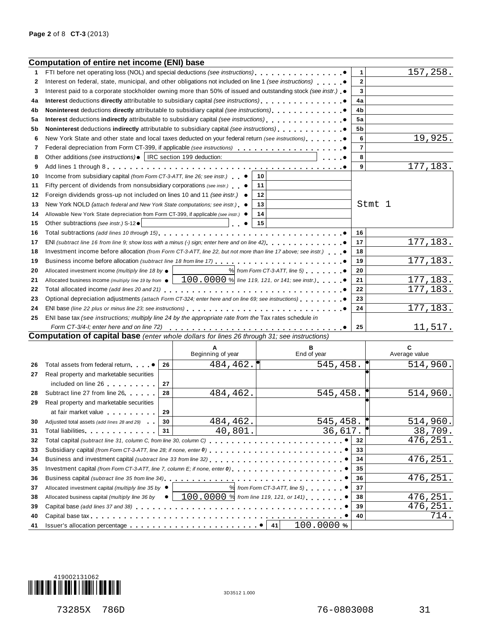|    | <b>Computation of entire net income (ENI) base</b>                                                                   |    |                                                     |    |                                           |                |                    |
|----|----------------------------------------------------------------------------------------------------------------------|----|-----------------------------------------------------|----|-------------------------------------------|----------------|--------------------|
| 1  | FTI before net operating loss (NOL) and special deductions (see instructions)                                        |    |                                                     |    |                                           | 1              | 157, 258.          |
| 2  | Interest on federal, state, municipal, and other obligations not included on line 1 (see instructions)               |    |                                                     |    |                                           | $\mathbf{2}$   |                    |
| 3  | Interest paid to a corporate stockholder owning more than 50% of issued and outstanding stock (see instr.) $\bullet$ |    | 3                                                   |    |                                           |                |                    |
| 4a | Interest deductions directly attributable to subsidiary capital (see instructions)                                   |    | 4a                                                  |    |                                           |                |                    |
| 4b | <b>Noninterest</b> deductions <b>directly</b> attributable to subsidiary capital (see instructions)                  |    |                                                     |    |                                           | 4b             |                    |
| 5а | Interest deductions indirectly attributable to subsidiary capital (see instructions).                                |    |                                                     |    |                                           | 5a             |                    |
| 5b | Noninterest deductions indirectly attributable to subsidiary capital (see instructions)                              |    |                                                     |    |                                           | 5b             |                    |
| 6  | New York State and other state and local taxes deducted on your federal return (see instructions)                    |    |                                                     |    |                                           | 6              | 19,925.            |
| 7  | Federal depreciation from Form CT-399, if applicable (see instructions)                                              |    |                                                     |    |                                           | $\overline{7}$ |                    |
| 8  | Other additions (see instructions) •   IRC section 199 deduction:                                                    |    |                                                     |    |                                           | 8              |                    |
| 9  |                                                                                                                      |    |                                                     |    |                                           | 9              | 177,183.           |
| 10 | Income from subsidiary capital (from Form CT-3-ATT, line 26; see instr.)                                             |    |                                                     | 10 |                                           |                |                    |
| 11 | Fifty percent of dividends from nonsubsidiary corporations (see instr.) $\bullet$                                    |    |                                                     | 11 |                                           |                |                    |
| 12 | Foreign dividends gross-up not included on lines 10 and 11 (see instr.) .                                            |    |                                                     | 12 |                                           |                |                    |
| 13 | New York NOLD (attach federal and New York State computations; see instr.) ●                                         |    |                                                     | 13 |                                           | Stmt 1         |                    |
| 14 | Allowable New York State depreciation from Form CT-399, if applicable (see instr.) ●                                 |    |                                                     | 14 |                                           |                |                    |
| 15 | Other subtractions (see instr.) S-12 .                                                                               |    |                                                     | 15 |                                           |                |                    |
| 16 |                                                                                                                      |    |                                                     |    |                                           | 16             |                    |
| 17 |                                                                                                                      |    |                                                     |    |                                           | 17             | 177, 183.          |
| 18 | Investment income before allocation (from Form CT-3-ATT, line 22, but not more than line 17 above; see instr.)       |    |                                                     |    |                                           | 18             |                    |
| 19 |                                                                                                                      |    |                                                     |    |                                           | 19             | 177, 183.          |
| 20 | Allocated investment income (multiply line 18 by $\bullet$                                                           |    |                                                     |    | $%$ from Form CT-3-ATT, line 5)           | 20             |                    |
| 21 | Allocated business income (multiply line 19 by from $\bullet$                                                        |    | $100$ , $0000$ % line 119, 121, or 141; see instr.) |    |                                           | 21             | 177, 183.          |
| 22 |                                                                                                                      |    |                                                     |    |                                           | 22             | 177,183.           |
| 23 | Optional depreciation adjustments (attach Form CT-324; enter here and on line 69; see instructions)                  |    |                                                     |    |                                           | 23             |                    |
| 24 |                                                                                                                      |    |                                                     |    |                                           | 24             | 177, 183.          |
| 25 | ENI base tax (see instructions; multiply line 24 by the appropriate rate from the Tax rates schedule in              |    |                                                     |    |                                           |                |                    |
|    | Form CT-3/4-I; enter here and on line 72)                                                                            |    |                                                     |    |                                           | 25             | 11,517.            |
|    | <b>Computation of capital base</b> (enter whole dollars for lines 26 through 31; see instructions)                   |    |                                                     |    |                                           |                |                    |
|    |                                                                                                                      |    | A<br>Beginning of year                              |    | в<br>End of year                          |                | C<br>Average value |
| 26 | Total assets from federal return                                                                                     | 26 | 484, 462.                                           |    | 545,458.                                  |                | 514,960.           |
| 27 | Real property and marketable securities                                                                              |    |                                                     |    |                                           |                |                    |
|    | included on line 26                                                                                                  | 27 |                                                     |    |                                           |                |                    |
| 28 | Subtract line 27 from line 26                                                                                        | 28 | 484,462.                                            |    | 545,458.                                  |                | 514,960.           |
| 29 | Real property and marketable securities                                                                              |    |                                                     |    |                                           |                |                    |
|    | at fair market value                                                                                                 | 29 |                                                     |    |                                           |                |                    |
| 30 | Adjusted total assets (add lines 28 and 29)                                                                          | 30 | 484,462.                                            |    | 545,458.                                  |                | 514,960.           |
| 31 | Total liabilities experience and the state of the state of the state of the state of the state of the state of       | 31 | 40,801.                                             |    | 36,617.                                   |                | 38,709.            |
| 32 |                                                                                                                      |    |                                                     |    |                                           | 32             | 476,251.           |
| 33 |                                                                                                                      |    |                                                     |    |                                           | 33             |                    |
| 34 |                                                                                                                      |    |                                                     |    |                                           | 34             | 476,251.           |
| 35 | Investment capital (from Form CT-3-ATT, line 7, column E; if none, enter 0)                                          |    |                                                     |    |                                           | 35             |                    |
| 36 |                                                                                                                      |    |                                                     |    |                                           | 36             | 476,251.           |
| 37 | Allocated investment capital (multiply line 35 by $\bullet$                                                          |    |                                                     |    | $\%$ from Form CT-3-ATT, line 5) $\ldots$ | 37             |                    |
| 38 | Allocated business capital (multiply line 36 by $\bullet$                                                            |    | $100.0000$ % from line 119, 121, or 141)            |    |                                           | 38             | 476,251.           |
| 39 |                                                                                                                      |    |                                                     |    |                                           | 39             | 476,251.           |
| 40 |                                                                                                                      |    |                                                     |    |                                           | 40             | 714.               |
| 41 |                                                                                                                      |    |                                                     |    | 100.0000%                                 |                |                    |

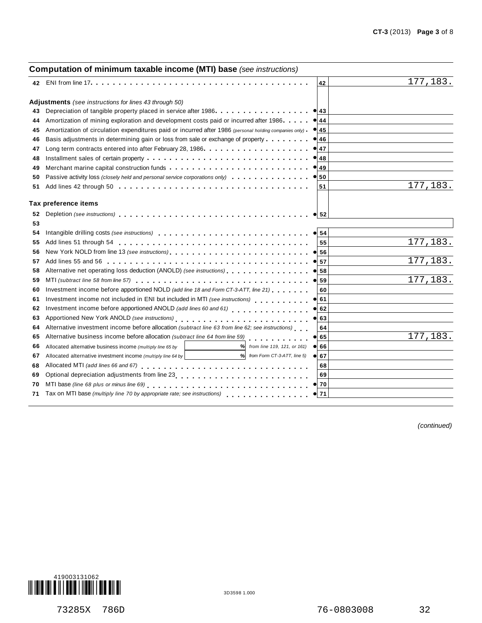### **Computation of minimum taxable income (MTI) base** *(see instructions)* **<sup>42</sup>** ENI from line <sup>17</sup>m m m m m m m m m m m m m m m m m m m m m m m m m m m m m m m m m m m m m m m **<sup>42</sup> Adjustments** *(see instructions for lines 43 through 50)*<br>43 Depreciation of tangible property placed in service after 1986.  $\begin{array}{c|c}\n\bullet & 43 \\
\hline\n44\n\end{array}$  $\begin{array}{c} \bullet \ \hline 45 \ \hline \end{array}$  $\begin{array}{c|c}\n\hline\n\bullet & 46 \\
\hline\n\end{array}$  $\begin{array}{c} \bullet \ \hline 47 \ \hline \end{array}$  $\begin{array}{c} \bullet \ \hline 48 \ \hline \end{array}$ **a**<br>**49**  $\frac{49}{50}$ % **52**  $\begin{array}{|c|c|}\n\hline\n54 \\
\hline\n\end{array}$  $\frac{35}{56}$  $\frac{56}{57}$  $\frac{58}{58}$  $\frac{38}{59}$  $\frac{60}{61}$  $\frac{61}{62}$  $\frac{62}{63}$  $\frac{64}{65}$  $\frac{66}{66}$  $\frac{88}{67}$  $\frac{6}{70}$  $\frac{70}{71}$ **43 44 45 46 47 48 49 50** Passive activity loss *(closely held and personal service corporations only)* m m m m m m m m m m m m m m **51** Depreciation of tangible property placed in service after 1986.<br>Amortization of mining exploration and development costs paid or incurred after 1986. . . . . . Amortization of mining exploration and development costs paid or incurred after 1986<br>Amortization of circulation expenditures paid or incurred after 1986 *(personal holding companies only)* Basis adjustments in determining gain or loss from sale or exchange of property .......<br>Long term contracts entered into after February 28, 1986.................... Long term contracts entered into after February 28, 1986. . . . . . . . . . . . . Installment sales of certain property m m m m m m m m m m m m m m m m m m m m m m m m m m m m m Merchant marine capital construction funds Add lines 42 through 50 . . . . . . . . . . . . . . . m m m m m m m m m m m m m m m m m **<sup>43</sup> 51** ng companies only)<br>. m m m m m m m m m m m m m m m m m m m m m m m m m m m m m m m m m m m m m m m m m m m m m m m m m m m m m m m m m m m **Tax preference items 52 53 54 55** Add lines 51 through 54 m m m m m m m m m m m m m m m m m m m m m m m m m m m m m m m m m m **56 57** Add lines 55 and 56 m m m m m m m m m m m m m m m m m m m m m m m m m m m m m m m m m m m m **58 59 60** Investment income before apportioned NOLD *(add line 18 and Form CT-3-ATT, line 21)* **61 62** Investment income before apportioned ANOLD *(add lines 60 and 61)* **63** Investment income not included in ENI but included in MTI *(see instructions)*<br>**62** Investment income before apportioned ANOLD *(add lines 60 and 61)*<br>**63** Apportioned New York ANOLD *(see instructions)* **64** Alternative investment income before allocation *(subtract line 63 from line 62; see instructions)*<br>**65** Alternative business income before allocation *(subtract line 64 from line 59)* **65** Depletion *(see instructions)* Intangible drilling costs *(see instructions)* m m m m m m m m m m m m m m m m m m m m m m m m m m m New York NOLD from line 13 *(see instructions)* m m m m m m m m m m m m m m m m m m m m m m m m m Alternative net operating loss deduction (ANOLD) *(see instructions)* m m m m m m m m m m m m m m m MTI *(subtract line 58 from line 57)* m m m m m m m m m m m m m m m m m m m m m m m m m m m m m m m Investment income not included in ENI but included in MTI *(see instructions)* Alternative business income before allocation *(subtract line 64 from line 59)* **55 60 64 68 69** m m m m m m m m m m m m m m m m m m m m m m m m m m m m m m m m m m m m m m m m m ne 21)<br>. . . . . . . . . . . . m m m m m m m m m m m m m m m m m m m m m m m m m m m **66 67** Allocated alternative business income *(multiply line 65 by from line 119, 121, or 161)* Allocated alternative investment income *(multiply line <sup>64</sup> by % % from Form CT-3-ATT, line 5)* Allocated alternative investment income *(multiply line 64 by* | \_\_\_\_\_\_\_\_\_\_\_\_\_\_\_\_\_\_\_\_\_\_% | *from Form CT-3-ATT, line 5)*<br>Allocated MTI *(add lines 66 and 67)*<br>-Optional depreciation adjustments from line 23 **69** MTI base *(line 68 plus or minus line 69)* m m m m m m m m m m m m m m m m m m m m m m m m m m m m m Tax on MTI base *(multiply line 70 by appropriate rate; see instructions)* **68 70 71** m m m m m m m m m m m m m m m m m m m m m m m m m m m m m m m m m m m m m m m 177,183. 177,183. 177,183. 177,183. 177,183. 177,183.

*(continued)*

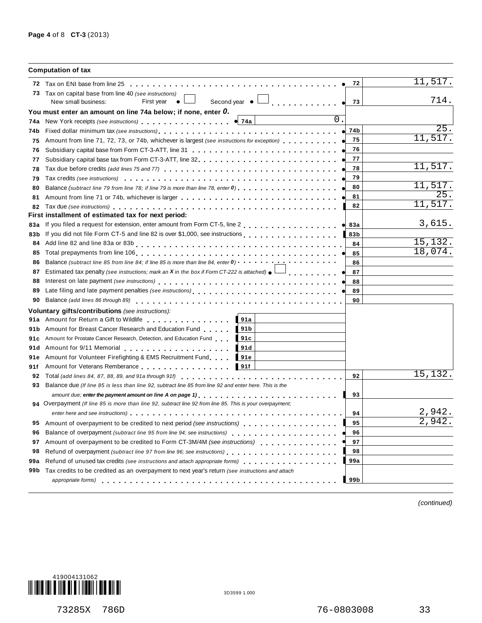|      | <b>Computation of tax</b>                                                                                                                                                                                                                                          |                 |                 |
|------|--------------------------------------------------------------------------------------------------------------------------------------------------------------------------------------------------------------------------------------------------------------------|-----------------|-----------------|
|      |                                                                                                                                                                                                                                                                    | 72              | 11,517.         |
|      | 73 Tax on capital base from line 40 (see instructions)<br>Second year $\bullet$<br>New small business:<br>First year<br><u>a a a a a a a a a a a a a</u><br>$\bullet$                                                                                              | 73<br>$\bullet$ | 714.            |
|      | You must enter an amount on line 74a below; if none, enter 0.                                                                                                                                                                                                      |                 |                 |
| 74a  | $\overline{0}$ .<br>New York receipts (see instructions) entering the set of the set of the set of the set of the set of the set of the set of the set of the set of the set of the set of the set of the set of the set of the set of the set of<br>$\bullet$ 74a |                 |                 |
| 74b  | Fixed dollar minimum tax (see instructions) enterpretation on the enterpretation of the enterpretational problem in the enterpretation of the enterpretation of the enterpretation of the enterpretation of the enterpretation                                     | 74b             | 25.             |
| 75   | Amount from line 71, 72, 73, or 74b, whichever is largest (see instructions for exception) $\bullet$ , $\bullet$ , $\bullet$ , $\bullet$                                                                                                                           | 75              | 11,517.         |
| 76   |                                                                                                                                                                                                                                                                    | 76              |                 |
| 77   |                                                                                                                                                                                                                                                                    | 77              |                 |
| 78   |                                                                                                                                                                                                                                                                    | 78              | 11,517.         |
| 79   | Tax credits (see instructions) enterpretation of the content of the content of the content of the content of the content of the content of the content of the content of the content of the content of the content of the cont                                     | 79              |                 |
| 80   | Balance (subtract line 79 from line 78; if line 79 is more than line 78, enter 0) $\cdots$ , , , , , , , , , , , , , , , , .                                                                                                                                       | 80              | 11,517.         |
| 81   |                                                                                                                                                                                                                                                                    | 81              | 25 <sub>1</sub> |
| 82   | Tax due (see instructions) et al., respectively respectively respectively respectively respectively respective                                                                                                                                                     | 82              | 11,517.         |
|      | First installment of estimated tax for next period:                                                                                                                                                                                                                |                 |                 |
| 83а  | If you filed a request for extension, enter amount from Form CT-5, line 2                                                                                                                                                                                          | 83a             | 3,615.          |
| 83b  | If you did not file Form CT-5 and line 82 is over \$1,000, see instructions                                                                                                                                                                                        | 83b             |                 |
| 84   |                                                                                                                                                                                                                                                                    | 84              | 15,132.         |
| 85   |                                                                                                                                                                                                                                                                    | 85              | 18,074.         |
| 86   | Balance (subtract line 85 from line 84; if line 85 is more than line 84, enter 0)                                                                                                                                                                                  | 86              |                 |
| 87   | Estimated tax penalty (see instructions; mark an X in the box if Form CT-222 is attached) $\bullet$                                                                                                                                                                | 87              |                 |
| 88   | Interest on late payment (see instructions)<br>interest on late payment (see instructions)                                                                                                                                                                         | 88              |                 |
| 89   |                                                                                                                                                                                                                                                                    | 89              |                 |
| 90   |                                                                                                                                                                                                                                                                    | 90              |                 |
|      | Voluntary gifts/contributions (see instructions):                                                                                                                                                                                                                  |                 |                 |
| 91a  | 91a<br>Amount for Return a Gift to Wildlife <b>Amount 1997</b>                                                                                                                                                                                                     |                 |                 |
| 91 b | Amount for Breast Cancer Research and Education Fund<br>91 <sub>b</sub>                                                                                                                                                                                            |                 |                 |
|      | 91c Amount for Prostate Cancer Research, Detection, and Education Fund<br>91c                                                                                                                                                                                      |                 |                 |
| 91 d | Amount for 9/11 Memorial<br>91d                                                                                                                                                                                                                                    |                 |                 |
| 91e  | Amount for Volunteer Firefighting & EMS Recruitment Fund<br>91e                                                                                                                                                                                                    |                 |                 |
| 91f  | Amount for Veterans Remberance<br>$\blacksquare$ 91f                                                                                                                                                                                                               |                 |                 |
| 92   |                                                                                                                                                                                                                                                                    | 92              | 15,132.         |
| 93   | Balance due (If line 85 is less than line 92, subtract line 85 from line 92 and enter here. This is the                                                                                                                                                            |                 |                 |
|      |                                                                                                                                                                                                                                                                    | 93              |                 |
|      | 94 Overpayment (If line 85 is more than line 92, subtract line 92 from line 85. This is your overpayment;                                                                                                                                                          |                 |                 |
|      |                                                                                                                                                                                                                                                                    | 94              | 2,942.          |
| 95   | Amount of overpayment to be credited to next period (see instructions)                                                                                                                                                                                             | 95              | 2,942.          |
| 96   |                                                                                                                                                                                                                                                                    | 96              |                 |
| 97   | Amount of overpayment to be credited to Form CT-3M/4M (see instructions)                                                                                                                                                                                           | 97              |                 |
| 98   | Refund of overpayment (subtract line 97 from line 96; see instructions)                                                                                                                                                                                            | 98              |                 |
| 99a  | Refund of unused tax credits (see instructions and attach appropriate forms)                                                                                                                                                                                       | 99a             |                 |
| 99b  | Tax credits to be credited as an overpayment to next year's return (see instructions and attach                                                                                                                                                                    |                 |                 |
|      |                                                                                                                                                                                                                                                                    | 99 b            |                 |
|      |                                                                                                                                                                                                                                                                    |                 |                 |

*(continued)*

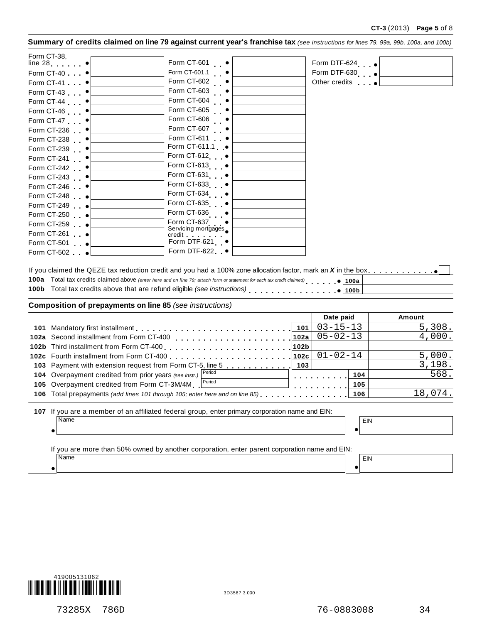|  |  |  |  | Summary of credits claimed on line 79 against current year's franchise tax (see instructions for lines 79, 99a, 99b, 100a, and 100b) |  |
|--|--|--|--|--------------------------------------------------------------------------------------------------------------------------------------|--|
|--|--|--|--|--------------------------------------------------------------------------------------------------------------------------------------|--|

| Form CT-38, $\bullet$ $\begin{bmatrix} \end{bmatrix}$ | Form CT-601 •                                                                                                                                                                                                                                         | Form DTF-624 el         |
|-------------------------------------------------------|-------------------------------------------------------------------------------------------------------------------------------------------------------------------------------------------------------------------------------------------------------|-------------------------|
| Form CT-40 •                                          | Form CT-601.1 •                                                                                                                                                                                                                                       | Form DTF-630 e          |
| Form CT-41 $\bullet$                                  | Form CT-602 •                                                                                                                                                                                                                                         | Other credits $\bullet$ |
| Form CT-43 •                                          | Form CT-603 •                                                                                                                                                                                                                                         |                         |
| Form CT-44 •                                          | Form CT-604 •                                                                                                                                                                                                                                         |                         |
| Form CT-46 $\bullet$                                  | Form CT-605 •                                                                                                                                                                                                                                         |                         |
| Form CT-47 •                                          | Form CT-606 •                                                                                                                                                                                                                                         |                         |
| Form CT-236 •                                         | Form CT-607 •                                                                                                                                                                                                                                         |                         |
| Form CT-238 •                                         | Form CT-611 •                                                                                                                                                                                                                                         |                         |
| Form CT-239 •                                         | Form CT-611.1 •                                                                                                                                                                                                                                       |                         |
| Form CT-241 •                                         | Form CT-612                                                                                                                                                                                                                                           |                         |
| Form CT-242 •                                         | Form CT-613 •                                                                                                                                                                                                                                         |                         |
| Form CT-243 •                                         | Form CT-631 •                                                                                                                                                                                                                                         |                         |
| Form CT-246                                           | Form CT-633 •                                                                                                                                                                                                                                         |                         |
| Form CT-248                                           | Form CT-634 •                                                                                                                                                                                                                                         |                         |
| Form CT-249 $\bullet$                                 | Form CT-635 •                                                                                                                                                                                                                                         |                         |
| Form CT-250 $\bullet$                                 | Form CT-636 •                                                                                                                                                                                                                                         |                         |
| Form CT-259                                           | Form CT-637                                                                                                                                                                                                                                           |                         |
| Form CT-261 $\bullet$                                 | Servicing mortgages<br>credit and the set of the set of the set of the set of the set of the set of the set of the set of the set of the set of the set of the set of the set of the set of the set of the set of the set of the set of the set of th |                         |
| Form CT-501 •                                         | Form DTF-621 •                                                                                                                                                                                                                                        |                         |
| Form CT-502 $\bullet$                                 | Form DTF-622 .                                                                                                                                                                                                                                        |                         |
|                                                       |                                                                                                                                                                                                                                                       |                         |

| 100a Total tax credits claimed above (enter here and on line 79; attach form or statement for each tax credit claimed) • 100a |  |  |  |
|-------------------------------------------------------------------------------------------------------------------------------|--|--|--|
|                                                                                                                               |  |  |  |
|                                                                                                                               |  |  |  |

### **Composition of prepayments on line 85** *(see instructions)*

|     |                                                                                                         |     | Date paid      |            | Amount  |
|-----|---------------------------------------------------------------------------------------------------------|-----|----------------|------------|---------|
| 101 |                                                                                                         | 101 | $03 - 15 - 13$ |            | 5,308.  |
|     | 102a Second installment from Form CT-400                                                                |     | $05 - 02 - 13$ |            | 4,000.  |
|     |                                                                                                         |     |                |            |         |
|     |                                                                                                         |     | $01 - 02 - 14$ |            | 5,000.  |
|     | 103 Payment with extension request from Form CT-5, line 5                                               | 103 |                |            | 3,198.  |
|     | 104 Overpayment credited from prior years (see instr.)   Period                                         |     |                | 104        | 568.    |
|     | Period<br>105 Overpayment credited from Form CT-3M/4M   Per                                             |     |                | 105        |         |
|     | 106 Total prepayments (add lines 101 through 105; enter here and on line 85)                            |     |                | 106        | 18,074. |
|     | 107 If you are a member of an affiliated federal group, enter primary corporation name and EIN:<br>Name |     |                | EIN        |         |
|     | If you are more than 50% owned by another corporation, enter parent corporation name and EIN:<br>Name   |     |                | <b>EIN</b> |         |

 $\bullet$ 



73285X 786D 76-0803008 34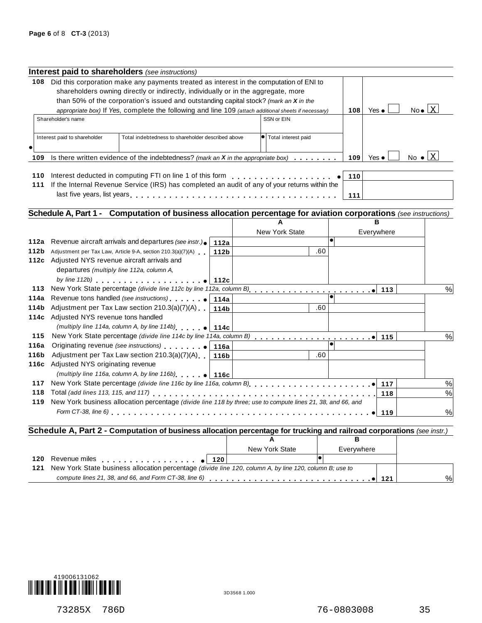|                                                                          | <b>Interest paid to shareholders</b> (see instructions)                                                         |      |                       |           |     |               |     |                                 |
|--------------------------------------------------------------------------|-----------------------------------------------------------------------------------------------------------------|------|-----------------------|-----------|-----|---------------|-----|---------------------------------|
| 108                                                                      | Did this corporation make any payments treated as interest in the computation of ENI to                         |      |                       |           |     |               |     |                                 |
|                                                                          | shareholders owning directly or indirectly, individually or in the aggregate, more                              |      |                       |           |     |               |     |                                 |
|                                                                          | than 50% of the corporation's issued and outstanding capital stock? (mark an $X$ in the                         |      |                       |           |     |               |     |                                 |
|                                                                          | appropriate box) If Yes, complete the following and line 109 (attach additional sheets if necessary)            |      |                       |           | 108 | Yes $\bullet$ |     | $No \bullet \Box X$             |
|                                                                          | Shareholder's name                                                                                              |      | SSN or EIN            |           |     |               |     |                                 |
|                                                                          |                                                                                                                 |      |                       |           |     |               |     |                                 |
|                                                                          | Interest paid to shareholder<br>Total indebtedness to shareholder described above                               |      | Total interest paid   |           |     |               |     |                                 |
|                                                                          |                                                                                                                 |      |                       |           |     |               |     |                                 |
| 109                                                                      | Is there written evidence of the indebtedness? (mark an $X$ in the appropriate box)                             |      |                       |           | 109 | Yes $\bullet$ |     | No $\bullet$ $\boxed{\text{X}}$ |
|                                                                          |                                                                                                                 |      |                       |           |     |               |     |                                 |
| 110                                                                      |                                                                                                                 |      |                       |           | 110 |               |     |                                 |
| 111                                                                      | If the Internal Revenue Service (IRS) has completed an audit of any of your returns within the                  |      |                       |           |     |               |     |                                 |
|                                                                          |                                                                                                                 |      |                       |           | 111 |               |     |                                 |
|                                                                          |                                                                                                                 |      |                       |           |     |               |     |                                 |
|                                                                          | Schedule A, Part 1 - Computation of business allocation percentage for aviation corporations (see instructions) |      |                       |           |     |               |     |                                 |
|                                                                          |                                                                                                                 |      |                       |           |     | R             |     |                                 |
|                                                                          |                                                                                                                 |      | <b>New York State</b> |           |     | Everywhere    |     |                                 |
|                                                                          |                                                                                                                 |      |                       |           |     |               |     |                                 |
|                                                                          | Revenue aircraft arrivals and departures (see instr.).                                                          | 112a |                       | $\bullet$ |     |               |     |                                 |
|                                                                          | Adjustment per Tax Law, Article 9-A, section 210.3(a)(7)(A)                                                     | 112b | .60                   |           |     |               |     |                                 |
|                                                                          | 112c Adjusted NYS revenue aircraft arrivals and                                                                 |      |                       |           |     |               |     |                                 |
|                                                                          | departures (multiply line 112a, column A,                                                                       |      |                       |           |     |               |     |                                 |
|                                                                          | by line 112b) $\blacksquare$                                                                                    |      |                       |           |     |               |     |                                 |
|                                                                          |                                                                                                                 |      |                       |           |     |               | 113 | %                               |
|                                                                          |                                                                                                                 |      |                       |           |     |               |     |                                 |
|                                                                          | Adjustment per Tax Law section 210.3(a)(7)(A) $\vert$ 114b                                                      |      | .60                   |           |     |               |     |                                 |
|                                                                          | 114c Adjusted NYS revenue tons handled                                                                          |      |                       |           |     |               |     |                                 |
|                                                                          | (multiply line 114a, column A, by line 114b) $\bullet$ 114c                                                     |      |                       |           |     |               |     |                                 |
|                                                                          | New York State percentage (divide line 114c by line 114a, column B) [1995]                                      |      |                       |           |     |               | 115 | %                               |
|                                                                          |                                                                                                                 |      |                       |           |     |               |     |                                 |
|                                                                          | Adjustment per Tax Law section 210.3(a)(7)(A)                                                                   | 116b | .60                   |           |     |               |     |                                 |
|                                                                          | 116c Adjusted NYS originating revenue                                                                           |      |                       |           |     |               |     |                                 |
|                                                                          | (multiply line 116a, column A, by line 116b) $\bullet$ 116c                                                     |      |                       |           |     |               |     |                                 |
|                                                                          | New York State percentage (divide line 116c by line 116a, column B)                                             |      |                       |           |     |               | 117 | $\%$                            |
| 112a<br>112b<br>113<br>114a<br>114b<br>115<br>116a<br>116b<br>117<br>118 |                                                                                                                 |      |                       |           |     |               | 118 | $\%$                            |
| 119                                                                      | New York business allocation percentage (divide line 118 by three; use to compute lines 21, 38, and 66, and     |      |                       |           |     |               |     |                                 |

### % **a** 121 Schedule A, Part 2 - Computation of business allocation percentage for trucking and railroad corporations (see instr.)<br>B **A B** New York State | Everywhere **120** Revenue miles<br>**120** Revenue miles<br>**121** New York State business allocation percentage (divide line 120 column A by line 120 column B: 121 New York State business allocation percentage (divide line 120, column A, by line 120, column B; use to<br>compute lines 21, 38, and 66, and Form CT-38, line 6)

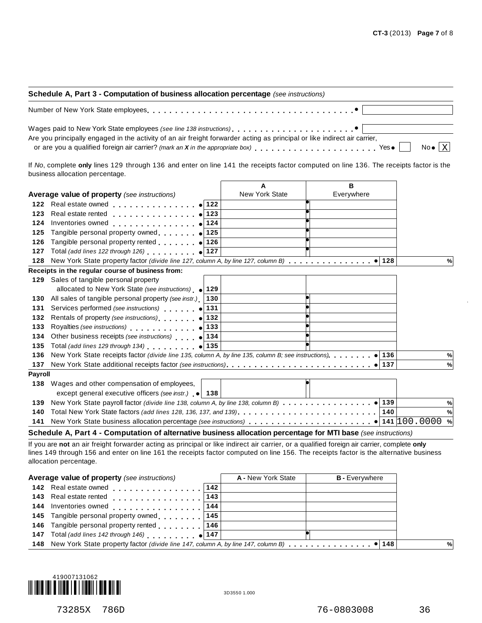| Schedule A, Part 3 - Computation of business allocation percentage (see instructions)                                                                                                                                          |
|--------------------------------------------------------------------------------------------------------------------------------------------------------------------------------------------------------------------------------|
| Number of New York State employees entering to serve in the server in the server of New York State employees entering the server in the server of the server of the server of the server of the server of the server of the se |
| Are you principally engaged in the activity of an air freight forwarder acting as principal or like indirect air carrier,                                                                                                      |
| or are you a qualified foreign air carrier? (mark an X in the appropriate box) $\ldots$ , Yes $\blacksquare$ No $\bullet$ $\boxed{\text{X}}$                                                                                   |

If *No*, complete **only** lines 129 through 136 and enter on line 141 the receipts factor computed on line 136. The receipts factor is the business allocation percentage.

|         |                                                                                     | A                     | в          |     |   |
|---------|-------------------------------------------------------------------------------------|-----------------------|------------|-----|---|
|         | <b>Average value of property</b> (see instructions)                                 | <b>New York State</b> | Everywhere |     |   |
| 122     | Real estate owned example 122                                                       |                       |            |     |   |
| 123     | 123<br>Real estate rented<br>.                                                      |                       |            |     |   |
| 124     | Inventories owned<br>. 124                                                          |                       |            |     |   |
| 125     | Tangible personal property owned $\bullet$ 125                                      |                       |            |     |   |
| 126     | Tangible personal property rented $\bullet$ 126                                     |                       |            |     |   |
| 127     | Total (add lines 122 through 126) $\bigcirc$ 127                                    |                       |            |     |   |
| 128     | New York State property factor (divide line 127, column A, by line 127, column B)   |                       |            | 128 | % |
|         | Receipts in the regular course of business from:                                    |                       |            |     |   |
|         | 129 Sales of tangible personal property                                             |                       |            |     |   |
|         | allocated to New York State (see instructions) $\bullet$ 129                        |                       |            |     |   |
| 130     | All sales of tangible personal property (see instr.)  <br>130                       |                       |            |     |   |
| 131     | Services performed (see instructions) (Services performed (see instructions)<br>131 |                       |            |     |   |
| 132     | Rentals of property (see instructions) $ 132 $                                      |                       |            |     |   |
| 133     | Royalties (see instructions) (133                                                   |                       |            |     |   |
| 134     | Other business receipts (see instructions)   0   134                                |                       |            |     |   |
| 135     | Total (add lines 129 through 134) $\bullet$ 135                                     |                       |            |     |   |
| 136     |                                                                                     |                       |            |     | % |
| 137     |                                                                                     |                       |            |     | % |
| Payroll |                                                                                     |                       |            |     |   |
| 138     | Wages and other compensation of employees,                                          |                       |            |     |   |
|         | except general executive officers (see instr.) $\bullet$ 138                        |                       |            |     |   |
| 139     |                                                                                     |                       |            |     | % |
| 140     |                                                                                     |                       |            |     | % |
| 141     |                                                                                     |                       |            |     | % |
|         |                                                                                     |                       |            |     |   |

**Schedule A, Part 4 - Computation of alternative business allocation percentage for MTI base** *(see instructions)*

If you are **not** an air freight forwarder acting as principal or like indirect air carrier, or a qualified foreign air carrier, complete **only** lines 149 through 156 and enter on line 161 the receipts factor computed on line 156. The receipts factor is the alternative business allocation percentage.

| Average value of property (see instructions)        |     | A - New York State | <b>B</b> - Everywhere |   |
|-----------------------------------------------------|-----|--------------------|-----------------------|---|
| 142 Real estate owned                               | 142 |                    |                       |   |
| 143 Real estate rented                              | 143 |                    |                       |   |
| 144 Inventories owned "                             | 144 |                    |                       |   |
| 145 Tangible personal property owned 145            |     |                    |                       |   |
| 146 Tangible personal property rented [1, 1, 146]   |     |                    |                       |   |
| 147 Total (add lines 142 through 146) $\bullet$ 147 |     |                    |                       |   |
|                                                     |     |                    |                       | % |
|                                                     |     |                    |                       |   |

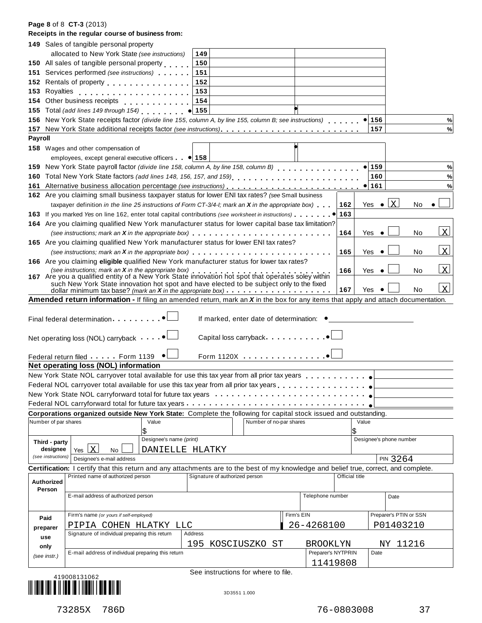|                |                           | Receipts in the regular course of business from:                                                                                                                                                                                                                               |                         |                                |                                                                                   |                    |                      |                         |                         |
|----------------|---------------------------|--------------------------------------------------------------------------------------------------------------------------------------------------------------------------------------------------------------------------------------------------------------------------------|-------------------------|--------------------------------|-----------------------------------------------------------------------------------|--------------------|----------------------|-------------------------|-------------------------|
|                |                           | <b>149</b> Sales of tangible personal property                                                                                                                                                                                                                                 |                         |                                |                                                                                   |                    |                      |                         |                         |
|                |                           | allocated to New York State (see instructions)                                                                                                                                                                                                                                 |                         | 149                            |                                                                                   |                    |                      |                         |                         |
|                |                           | 150 All sales of tangible personal property                                                                                                                                                                                                                                    |                         | 150                            |                                                                                   |                    |                      |                         |                         |
|                |                           | 151 Services performed (see instructions)                                                                                                                                                                                                                                      |                         | 151                            |                                                                                   |                    |                      |                         |                         |
|                |                           | 152 Rentals of property <b>container and the set of the set of the set of the set of the set of the set of the set of the set of the set of the set of the set of the set of the set of the set of the set of the set of the set</b>                                           |                         | 152                            |                                                                                   |                    |                      |                         |                         |
|                | 153 Royalties             |                                                                                                                                                                                                                                                                                |                         | 153                            |                                                                                   |                    |                      |                         |                         |
|                |                           | 154 Other business receipts                                                                                                                                                                                                                                                    |                         | 154                            |                                                                                   |                    |                      |                         |                         |
|                |                           | 155 Total (add lines 149 through 154)                                                                                                                                                                                                                                          |                         | 155<br>$\bullet$               |                                                                                   |                    |                      |                         |                         |
|                |                           | 156 New York State receipts factor (divide line 155, column A, by line 155, column B; see instructions)                                                                                                                                                                        |                         |                                |                                                                                   |                    | $\bullet$ 156        |                         | %                       |
|                |                           |                                                                                                                                                                                                                                                                                |                         |                                |                                                                                   |                    | 157                  |                         | $\%$                    |
| <b>Payroll</b> |                           |                                                                                                                                                                                                                                                                                |                         |                                |                                                                                   |                    |                      |                         |                         |
|                |                           | <b>158</b> Wages and other compensation of                                                                                                                                                                                                                                     |                         |                                |                                                                                   |                    |                      |                         |                         |
|                |                           | employees, except general executive officers $\bullet$ 158                                                                                                                                                                                                                     |                         |                                |                                                                                   |                    |                      |                         |                         |
|                |                           | 159 New York State payroll factor (divide line 158, column A, by line 158, column B)                                                                                                                                                                                           |                         |                                |                                                                                   |                    | $\bullet$ 159        |                         | %                       |
|                |                           | 160 Total New York State factors (add lines 148, 156, 157, and 159)                                                                                                                                                                                                            |                         |                                |                                                                                   |                    | 160                  |                         | %                       |
|                |                           |                                                                                                                                                                                                                                                                                |                         |                                |                                                                                   |                    | $\bullet$ 161        |                         | %                       |
|                |                           | 162 Are you claiming small business taxpayer status for lower ENI tax rates? (see Small business                                                                                                                                                                               |                         |                                |                                                                                   |                    |                      |                         |                         |
|                |                           | taxpayer definition in the line 25 instructions of Form CT-3/4-I; mark an <b>X</b> in the appropriate box)                                                                                                                                                                     |                         |                                |                                                                                   |                    | 162<br>Yes $\bullet$ | $\mathbf{x}$<br>No      |                         |
|                |                           | 163 If you marked Yes on line 162, enter total capital contributions (see worksheet in instructions).                                                                                                                                                                          |                         |                                |                                                                                   |                    | 163                  |                         |                         |
|                |                           | 164 Are you claiming qualified New York manufacturer status for lower capital base tax limitation?                                                                                                                                                                             |                         |                                |                                                                                   |                    |                      |                         |                         |
|                |                           |                                                                                                                                                                                                                                                                                |                         |                                |                                                                                   |                    | 164<br>Yes           | No                      | $\overline{\mathbf{x}}$ |
|                |                           | 165 Are you claiming qualified New York manufacturer status for lower ENI tax rates?                                                                                                                                                                                           |                         |                                |                                                                                   |                    |                      |                         |                         |
|                |                           | (see instructions; mark an X in the appropriate box) $\ldots \ldots \ldots \ldots \ldots \ldots \ldots \ldots \ldots \ldots$                                                                                                                                                   |                         |                                |                                                                                   |                    | 165<br>Yes           | No                      | $\overline{\mathbf{X}}$ |
|                |                           | 166 Are you claiming eligible qualified New York manufacturer status for lower tax rates?                                                                                                                                                                                      |                         |                                |                                                                                   |                    |                      |                         |                         |
|                |                           | (see instructions; mark an X in the appropriate box)<br>167 Are you a qualified entity of a New York State innovation hot spot that operates soley within                                                                                                                      |                         |                                |                                                                                   |                    | 166<br>Yes           | No                      | $\mathbf{x}$            |
|                |                           | such New York State innovation hot spot and have elected to be subject only to the fixed                                                                                                                                                                                       |                         |                                |                                                                                   |                    |                      |                         |                         |
|                |                           | dollar minimum tax base? (mark an X in the appropriate box) $\cdots$                                                                                                                                                                                                           |                         |                                |                                                                                   |                    | 167<br>Yes           | No                      | $\overline{\mathbf{X}}$ |
|                |                           | Amended return information - If filing an amended return, mark an X in the box for any items that apply and attach documentation.                                                                                                                                              |                         |                                |                                                                                   |                    |                      |                         |                         |
|                |                           | Final federal determination.<br>Net operating loss (NOL) carryback $\bullet$<br>Federal return filed Form 1139 .<br>Net operating loss (NOL) information<br>New York State NOL carryover total available for use this tax year from all prior tax years $\ldots \ldots \ldots$ |                         |                                | If marked, enter date of determination: ●<br>Capital loss carryback<br>Form 1120X |                    |                      |                         |                         |
|                |                           | Federal NOL carryover total available for use this tax year from all prior tax years                                                                                                                                                                                           |                         |                                |                                                                                   |                    |                      |                         |                         |
|                |                           | New York State NOL carryforward total for future tax years                                                                                                                                                                                                                     |                         |                                |                                                                                   |                    |                      |                         |                         |
|                |                           | Federal NOL carryforward total for future tax years                                                                                                                                                                                                                            |                         |                                |                                                                                   |                    |                      |                         |                         |
|                |                           | Corporations organized outside New York State: Complete the following for capital stock issued and outstanding.                                                                                                                                                                |                         |                                |                                                                                   |                    |                      |                         |                         |
|                | Number of par shares      |                                                                                                                                                                                                                                                                                | Value<br>\$             |                                | Number of no-par shares                                                           |                    | Value<br>\$          |                         |                         |
|                |                           |                                                                                                                                                                                                                                                                                | Designee's name (print) |                                |                                                                                   |                    |                      | Designee's phone number |                         |
|                | Third - party<br>designee | $\mathbf{X}$<br>Yes<br>No                                                                                                                                                                                                                                                      | DANIELLE HLATKY         |                                |                                                                                   |                    |                      |                         |                         |
|                | (see instructions)        | Designee's e-mail address                                                                                                                                                                                                                                                      |                         |                                |                                                                                   |                    |                      | PIN 3264                |                         |
|                |                           | Certification: I certify that this return and any attachments are to the best of my knowledge and belief true, correct, and complete.                                                                                                                                          |                         |                                |                                                                                   |                    |                      |                         |                         |
|                |                           | Printed name of authorized person                                                                                                                                                                                                                                              |                         | Signature of authorized person |                                                                                   |                    | Official title       |                         |                         |
|                | <b>Authorized</b>         |                                                                                                                                                                                                                                                                                |                         |                                |                                                                                   |                    |                      |                         |                         |
|                | Person                    | E-mail address of authorized person                                                                                                                                                                                                                                            |                         |                                |                                                                                   | Telephone number   |                      | Date                    |                         |
|                |                           |                                                                                                                                                                                                                                                                                |                         |                                |                                                                                   |                    |                      |                         |                         |
|                |                           | Firm's name (or yours if self-employed)                                                                                                                                                                                                                                        |                         |                                |                                                                                   | Firm's EIN         |                      | Preparer's PTIN or SSN  |                         |
|                | Paid                      | PIPIA COHEN HLATKY LLC                                                                                                                                                                                                                                                         |                         |                                |                                                                                   | 26-4268100         |                      | P01403210               |                         |
|                | preparer                  | Signature of individual preparing this return                                                                                                                                                                                                                                  |                         | Address                        |                                                                                   |                    |                      |                         |                         |
|                | use                       |                                                                                                                                                                                                                                                                                |                         | 195                            | KOSCIUSZKO ST                                                                     | BROOKLYN           |                      | NY 11216                |                         |
|                | only                      | E-mail address of individual preparing this return                                                                                                                                                                                                                             |                         |                                |                                                                                   | Preparer's NYTPRIN | Date                 |                         |                         |
|                | (see instr.)              |                                                                                                                                                                                                                                                                                |                         |                                |                                                                                   | 11419808           |                      |                         |                         |
|                |                           |                                                                                                                                                                                                                                                                                |                         |                                | See instructions for where to file.                                               |                    |                      |                         |                         |
|                |                           | 419008131062                                                                                                                                                                                                                                                                   |                         |                                |                                                                                   |                    |                      |                         |                         |
|                |                           |                                                                                                                                                                                                                                                                                |                         |                                | 3D3551 1.000                                                                      |                    |                      |                         |                         |

**Page 8** of 8 **CT-3** (2013)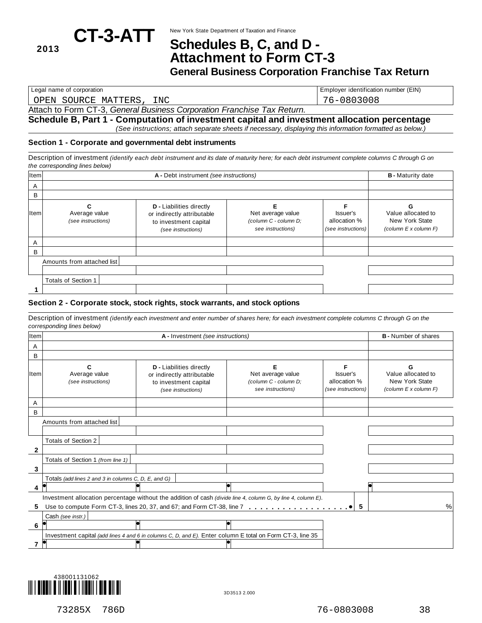## New York State Department of Taxation and Finance **CT-3-ATT Schedules B, C, and <sup>D</sup> - <sup>2013</sup> Attachment to Form CT-3**

**General Business Corporation Franchise Tax Return**

OPEN SOURCE MATTERS, INC 76-0803008

Legal name of corporation **Employer identification number (EIN)** Employer identification number (EIN)

### Attach to Form CT-3, *General Business Corporation Franchise Tax Return.*

**Schedule B, Part 1 - Computation of investment capital and investment allocation percentage** *(See instructions; attach separate sheets if necessary, displaying this information formatted as below.)*

### **Section 1 - Corporate and governmental debt instruments**

Description of investment (identify each debt instrument and its date of maturity here; for each debt instrument complete columns C through G on *the corresponding lines below)*

| Item |                                     | <b>B</b> - Maturity date                                                                                     |                                                                 |                                                |                                                                         |
|------|-------------------------------------|--------------------------------------------------------------------------------------------------------------|-----------------------------------------------------------------|------------------------------------------------|-------------------------------------------------------------------------|
| A    |                                     |                                                                                                              |                                                                 |                                                |                                                                         |
| B    |                                     |                                                                                                              |                                                                 |                                                |                                                                         |
| Item | Average value<br>(see instructions) | <b>D</b> - Liabilities directly<br>or indirectly attributable<br>to investment capital<br>(see instructions) | Net average value<br>(column C - column D;<br>see instructions) | Issuer's<br>allocation %<br>(see instructions) | Value allocated to<br>New York State<br>(column $E \times$ column $F$ ) |
| A    |                                     |                                                                                                              |                                                                 |                                                |                                                                         |
| B    |                                     |                                                                                                              |                                                                 |                                                |                                                                         |
|      | Amounts from attached list          |                                                                                                              |                                                                 |                                                |                                                                         |
|      |                                     |                                                                                                              |                                                                 |                                                |                                                                         |
|      | Totals of Section 1                 |                                                                                                              |                                                                 |                                                |                                                                         |
|      |                                     |                                                                                                              |                                                                 |                                                |                                                                         |
|      |                                     |                                                                                                              |                                                                 |                                                |                                                                         |

### **Section 2 - Corporate stock, stock rights, stock warrants, and stock options**

Description of investment (identify each investment and enter number of shares here; for each investment complete columns C through G on the *corresponding lines below)*

| Item         |                                                      | A - Investment (see instructions)                                                                             |                                                                 |                                                | <b>B</b> - Number of shares                                   |
|--------------|------------------------------------------------------|---------------------------------------------------------------------------------------------------------------|-----------------------------------------------------------------|------------------------------------------------|---------------------------------------------------------------|
| A            |                                                      |                                                                                                               |                                                                 |                                                |                                                               |
| B            |                                                      |                                                                                                               |                                                                 |                                                |                                                               |
| ltem         | Average value<br>(see instructions)                  | <b>D</b> - Liabilities directly<br>or indirectly attributable<br>to investment capital<br>(see instructions)  | Net average value<br>(column C - column D;<br>see instructions) | Issuer's<br>allocation %<br>(see instructions) | Value allocated to<br>New York State<br>(column E x column F) |
| A            |                                                      |                                                                                                               |                                                                 |                                                |                                                               |
| B            |                                                      |                                                                                                               |                                                                 |                                                |                                                               |
|              | Amounts from attached list                           |                                                                                                               |                                                                 |                                                |                                                               |
|              |                                                      |                                                                                                               |                                                                 |                                                |                                                               |
|              | Totals of Section 2                                  |                                                                                                               |                                                                 |                                                |                                                               |
| $\mathbf{2}$ |                                                      |                                                                                                               |                                                                 |                                                |                                                               |
|              | Totals of Section 1 (from line 1)                    |                                                                                                               |                                                                 |                                                |                                                               |
| 3            |                                                      |                                                                                                               |                                                                 |                                                |                                                               |
|              | Totals (add lines 2 and 3 in columns C, D, E, and G) |                                                                                                               |                                                                 |                                                |                                                               |
| 4            |                                                      |                                                                                                               |                                                                 |                                                |                                                               |
|              |                                                      | Investment allocation percentage without the addition of cash (divide line 4, column G, by line 4, column E). |                                                                 |                                                |                                                               |
| 5            |                                                      |                                                                                                               |                                                                 | 5                                              | %                                                             |
|              | Cash (see instr.)                                    |                                                                                                               |                                                                 |                                                |                                                               |
| 6            |                                                      |                                                                                                               |                                                                 |                                                |                                                               |
|              |                                                      | Investment capital (add lines 4 and 6 in columns C, D, and E). Enter column E total on Form CT-3, line 35     |                                                                 |                                                |                                                               |
|              |                                                      |                                                                                                               |                                                                 |                                                |                                                               |

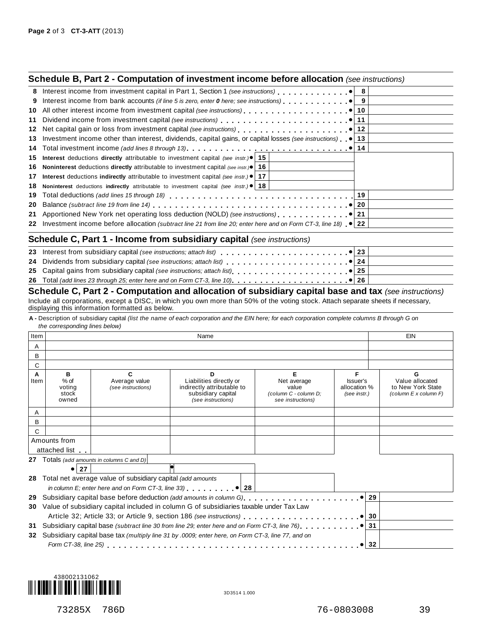|    | <b>Schedule B, Part 2 - Computation of investment income before allocation</b> (see instructions)                 |  |
|----|-------------------------------------------------------------------------------------------------------------------|--|
|    |                                                                                                                   |  |
| 9  | Interest income from bank accounts (if line 5 is zero, enter 0 here; see instructions) $\blacksquare$             |  |
| 10 |                                                                                                                   |  |
|    |                                                                                                                   |  |
|    |                                                                                                                   |  |
|    | 13 Investment income other than interest, dividends, capital gains, or capital losses (see instructions) .   13   |  |
|    |                                                                                                                   |  |
|    | <b>15</b> Interest deductions directly attributable to investment capital (see instr.) $\bullet$   <b>15</b>      |  |
|    | <b>16</b> Noninterest deductions directly attributable to investment capital (see instr.) $\bullet$   16          |  |
| 17 | <b>Interest</b> deductions indirectly attributable to investment capital (see instr.) $\bullet$   17              |  |
| 18 | <b>Noninterest</b> deductions indirectly attributable to investment capital (see instr.) $\bullet$   18           |  |
| 19 |                                                                                                                   |  |
| 20 |                                                                                                                   |  |
|    |                                                                                                                   |  |
|    | 22 Investment income before allocation (subtract line 21 from line 20; enter here and on Form CT-3, line 18) ● 22 |  |
|    | <b>Schedule C, Part 1 - Income from subsidiary capital</b> (see instructions)                                     |  |
|    |                                                                                                                   |  |
|    |                                                                                                                   |  |

| 23 Interest from subsidiary capital (see instructions; attach list) ______________________________● 23 |  |
|--------------------------------------------------------------------------------------------------------|--|

### **Schedule C, Part 2 - Computation and allocation of subsidiary capital base and tax** *(see instructions)* Include all corporations, except a DISC, in which you own more than 50% of the voting stock. Attach separate sheets if necessary, displaying this information formatted as below.

A - Description of subsidiary capital (list the name of each corporation and the EIN here; for each corporation complete columns B through G on *the corresponding lines below)*

| Item |                  |                                                               | Name                                                                                                           |                       |                          | EIN                                  |
|------|------------------|---------------------------------------------------------------|----------------------------------------------------------------------------------------------------------------|-----------------------|--------------------------|--------------------------------------|
| A    |                  |                                                               |                                                                                                                |                       |                          |                                      |
| B    |                  |                                                               |                                                                                                                |                       |                          |                                      |
| C    |                  |                                                               |                                                                                                                |                       |                          |                                      |
| A    | в                | C                                                             | D                                                                                                              | Е                     | F                        | G                                    |
| Item | $%$ of<br>voting | Average value<br>(see instructions)                           | Liabilities directly or<br>indirectly attributable to                                                          | Net average<br>value  | Issuer's<br>allocation % | Value allocated<br>to New York State |
|      | stock            |                                                               | subsidiary capital                                                                                             | (column C - column D; | (see instr.)             | (column E x column F)                |
|      | owned            |                                                               | (see instructions)                                                                                             | see instructions)     |                          |                                      |
| A    |                  |                                                               |                                                                                                                |                       |                          |                                      |
| B    |                  |                                                               |                                                                                                                |                       |                          |                                      |
| С    |                  |                                                               |                                                                                                                |                       |                          |                                      |
|      | Amounts from     |                                                               |                                                                                                                |                       |                          |                                      |
|      | attached list    |                                                               |                                                                                                                |                       |                          |                                      |
|      |                  | <b>27</b> Totals (add amounts in columns C and D)             |                                                                                                                |                       |                          |                                      |
|      | ●  27            |                                                               |                                                                                                                |                       |                          |                                      |
|      |                  | 28 Total net average value of subsidiary capital (add amounts |                                                                                                                |                       |                          |                                      |
|      |                  |                                                               | in column E; enter here and on Form CT-3, line 33) $\Box$                                                      |                       |                          |                                      |
| 29   |                  |                                                               | Subsidiary capital base before deduction (add amounts in column G) [Concentration of the set of the set of the |                       |                          | 29                                   |
| 30   |                  |                                                               | Value of subsidiary capital included in column G of subsidiaries taxable under Tax Law                         |                       |                          |                                      |
|      |                  |                                                               |                                                                                                                |                       |                          | 30                                   |
| 31   |                  |                                                               | Subsidiary capital base (subtract line 30 from line 29; enter here and on Form CT-3, line 76) [100]            |                       |                          | 31                                   |
| 32   |                  |                                                               | Subsidiary capital base tax (multiply line 31 by .0009; enter here, on Form CT-3, line 77, and on              |                       |                          |                                      |
|      |                  |                                                               |                                                                                                                |                       |                          | 32                                   |
|      |                  |                                                               |                                                                                                                |                       |                          |                                      |

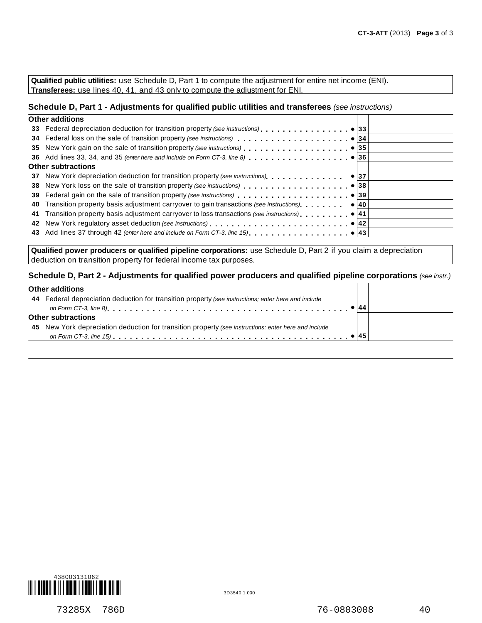**Qualified public utilities:** use Schedule D, Part 1 to compute the adjustment for entire net income (ENI). **Transferees:** use lines 40, 41, and 43 only to compute the adjustment for ENI.

### **Schedule D, Part 1 - Adjustments for qualified public utilities and transferees** *(see instructions)*

| <b>Other additions</b>                                                         |              |  |
|--------------------------------------------------------------------------------|--------------|--|
|                                                                                |              |  |
|                                                                                |              |  |
|                                                                                |              |  |
|                                                                                |              |  |
| <b>Other subtractions</b>                                                      |              |  |
| 37 New York depreciation deduction for transition property (see instructions). | $\bullet$ 37 |  |
|                                                                                |              |  |
|                                                                                |              |  |
|                                                                                |              |  |
|                                                                                |              |  |
|                                                                                |              |  |
|                                                                                |              |  |
|                                                                                |              |  |

**Qualified power producers or qualified pipeline corporations:** use Schedule D, Part 2 if you claim a depreciation deduction on transition property for federal income tax purposes.

### **Schedule D, Part 2 - Adjustments for qualified power producers and qualified pipeline corporations** *(see instr.)*

### **Other additions**

| <b>ULIEL QUUILIUIS</b>                                                                               |  |
|------------------------------------------------------------------------------------------------------|--|
| 44 Federal depreciation deduction for transition property (see instructions; enter here and include  |  |
|                                                                                                      |  |
| <b>Other subtractions</b>                                                                            |  |
| 45 New York depreciation deduction for transition property (see instructions; enter here and include |  |
|                                                                                                      |  |
|                                                                                                      |  |



┱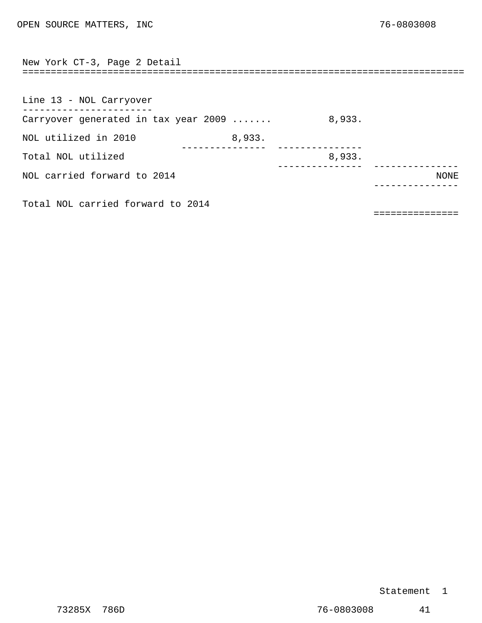<span id="page-29-0"></span>

| New York CT-3, Page 2 Detail         | ================================== |        |      |
|--------------------------------------|------------------------------------|--------|------|
|                                      |                                    |        |      |
| Line 13 - NOL Carryover              |                                    |        |      |
| Carryover generated in tax year 2009 |                                    | 8,933. |      |
| NOL utilized in 2010                 | 8,933.                             |        |      |
| Total NOL utilized                   |                                    | 8,933. |      |
| NOL carried forward to 2014          |                                    |        | NONE |
| Total NOL carried forward to 2014    |                                    |        |      |

===============

### Statement 1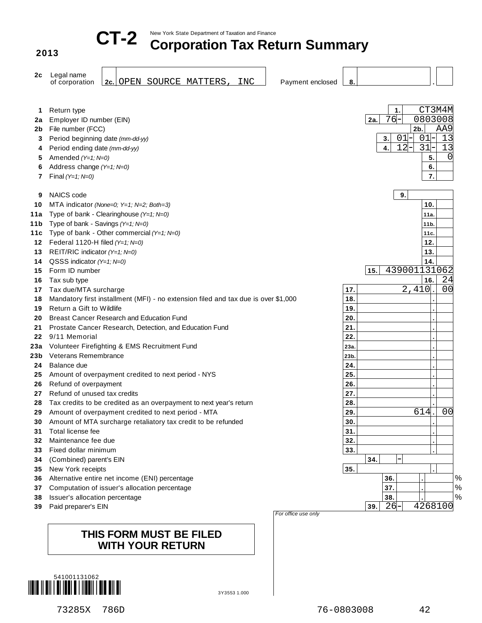

**2013**

# New York State Department of Taxation and Finance **CT-2 Corporation Tax Return Summary**

| 2с       | Legal name                                                                         |      |                                            |
|----------|------------------------------------------------------------------------------------|------|--------------------------------------------|
|          | 2c. OPEN SOURCE MATTERS,<br>INC<br>of corporation<br>Payment enclosed              | 8.   |                                            |
|          |                                                                                    |      |                                            |
| 1        | Return type                                                                        |      | CT3M4M<br>1.                               |
| 2a       | Employer ID number (EIN)                                                           |      | 76<br>0803008<br>2a.                       |
| 2b       | File number (FCC)                                                                  |      | $2b$ .<br>AA9                              |
| 3        | Period beginning date (mm-dd-yy)                                                   |      | 13<br>01<br>01<br>3.                       |
| 4        | Period ending date (mm-dd-yy)                                                      |      | $12 -$<br>$31 -$<br>13<br>$\overline{4}$ . |
| 5        | Amended (Y=1; N=0)                                                                 |      | 0 <br>5.                                   |
| 6        | Address change (Y=1; N=0)                                                          |      | 6.                                         |
| 7        | Final $(Y=1; N=0)$                                                                 |      | 7.                                         |
| 9        | NAICS code                                                                         |      | 9.                                         |
| 10       | MTA indicator (None=0; Y=1; N=2; Both=3)                                           |      | 10.                                        |
| 11a      | Type of bank - Clearinghouse (Y=1; N=0)                                            |      | 11a                                        |
| 11b      | Type of bank - Savings (Y=1; N=0)                                                  |      | 11 <sub>b</sub>                            |
| 11c      | Type of bank - Other commercial (Y=1; N=0)                                         |      | 11c                                        |
| 12       | Federal 1120-H filed $(Y=1; N=0)$                                                  |      | 12.                                        |
| 13       | REIT/RIC indicator (Y=1; N=0)                                                      |      | 13.                                        |
| 14       | QSSS indicator $(Y=1; N=0)$                                                        |      | 14.                                        |
| 15       | Form ID number                                                                     |      | 439001131062<br>15.                        |
| 16       | Tax sub type                                                                       |      | 24<br>16.                                  |
| 17       | Tax due/MTA surcharge                                                              | 17.  | $2,410$ .<br>00                            |
| 18       | Mandatory first installment (MFI) - no extension filed and tax due is over \$1,000 | 18.  |                                            |
| 19       | Return a Gift to Wildlife                                                          | 19.  |                                            |
| 20       | Breast Cancer Research and Education Fund                                          | 20.  |                                            |
| 21       | Prostate Cancer Research, Detection, and Education Fund                            | 21.  |                                            |
| 22       | 9/11 Memorial                                                                      | 22.  |                                            |
| 23а      | Volunteer Firefighting & EMS Recruitment Fund                                      | 23a. |                                            |
| 23b.     | <b>Veterans Remembrance</b>                                                        | 23b. |                                            |
| 24       | Balance due                                                                        | 24.  |                                            |
| 25       | Amount of overpayment credited to next period - NYS                                | 25.  |                                            |
| 26       | Refund of overpayment                                                              | 26.  |                                            |
| 27       | Refund of unused tax credits                                                       | 27.  |                                            |
| 28       | Tax credits to be credited as an overpayment to next year's return                 | 28.  |                                            |
| 29       | Amount of overpayment credited to next period - MTA                                | 29.  | 614.<br>0 <sub>0</sub>                     |
| 30       | Amount of MTA surcharge retaliatory tax credit to be refunded                      | 30.  |                                            |
| 31       | Total license fee                                                                  | 31.  |                                            |
| 32       | Maintenance fee due                                                                | 32.  |                                            |
| 33       | Fixed dollar minimum                                                               | 33.  |                                            |
| 34       | (Combined) parent's EIN                                                            |      | 34.                                        |
| 35       | New York receipts                                                                  | 35.  |                                            |
| 36       | Alternative entire net income (ENI) percentage                                     |      | $\%$<br>36.                                |
| 37       | Computation of issuer's allocation percentage                                      |      | $\%$<br>37.                                |
| 38<br>39 | Issuer's allocation percentage<br>Paid preparer's EIN                              |      | $\%$<br>38.<br>26<br>4268100<br>39.        |
|          |                                                                                    |      |                                            |

### **THIS FORM MUST BE FILED WITH YOUR RETURN**

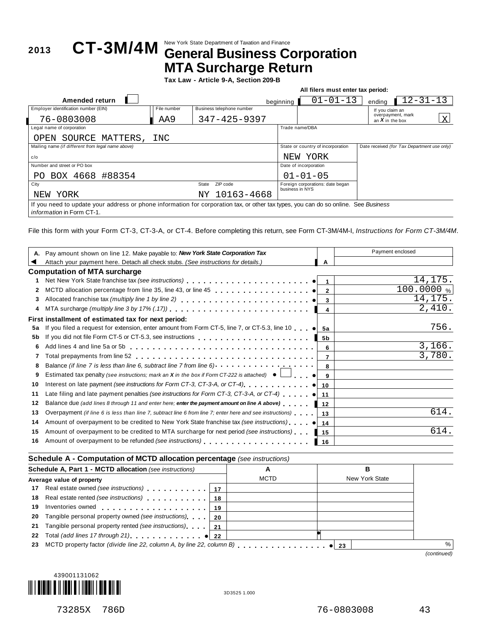## New York State Department of Taxation and Finance **<sup>2013</sup> CT-3M/4M General Business Corporation MTA Surcharge Return**

**Tax Law - Article 9-A, Section 209-B**

|                                                                                                                                     |             |                           |           |                                                     | All filers must enter tax period: |                                             |                           |   |
|-------------------------------------------------------------------------------------------------------------------------------------|-------------|---------------------------|-----------|-----------------------------------------------------|-----------------------------------|---------------------------------------------|---------------------------|---|
| Amended return                                                                                                                      |             |                           | beginning |                                                     | $01 - 01 - 13$                    | endina                                      | $\overline{1}2 - 31 - 13$ |   |
| Employer identification number (EIN)                                                                                                | File number | Business telephone number |           |                                                     |                                   | If you claim an                             |                           |   |
| 76-0803008                                                                                                                          | AA9         | $347 - 425 - 9397$        |           |                                                     |                                   | overpayment, mark<br>an $X$ in the box      |                           | X |
| Legal name of corporation                                                                                                           |             |                           |           | Trade name/DBA                                      |                                   |                                             |                           |   |
| OPEN SOURCE MATTERS,                                                                                                                | INC         |                           |           |                                                     |                                   |                                             |                           |   |
| Mailing name (if different from legal name above)                                                                                   |             |                           |           | State or country of incorporation                   |                                   | Date received (for Tax Department use only) |                           |   |
| c/o                                                                                                                                 |             |                           |           | YORK<br>NEW                                         |                                   |                                             |                           |   |
| Number and street or PO box                                                                                                         |             |                           |           | Date of incorporation                               |                                   |                                             |                           |   |
| PO BOX 4668 #88354                                                                                                                  |             |                           |           | $01 - 01 - 05$                                      |                                   |                                             |                           |   |
| City                                                                                                                                |             | ZIP code<br>State         |           | Foreign corporations: date began<br>business in NYS |                                   |                                             |                           |   |
| YORK<br>NEW                                                                                                                         |             | NY 10163-4668             |           |                                                     |                                   |                                             |                           |   |
| If you need to update your address or phone information for corporation tax, or other tax types, you can do so online. See Business |             |                           |           |                                                     |                                   |                                             |                           |   |
| <i>information</i> in Form CT-1.                                                                                                    |             |                           |           |                                                     |                                   |                                             |                           |   |

File this form with your Form CT-3, CT-3-A, or CT-4. Before completing this return, see Form CT-3M/4M-I, *Instructions for Form CT-3M/4M*.

|    | Pay amount shown on line 12. Make payable to: New York State Corporation Tax                                      |                | Payment enclosed |
|----|-------------------------------------------------------------------------------------------------------------------|----------------|------------------|
|    | Attach your payment here. Detach all check stubs. (See instructions for details.)                                 | A              |                  |
|    | <b>Computation of MTA surcharge</b>                                                                               |                |                  |
| 1. |                                                                                                                   |                | 14,175           |
| 2  |                                                                                                                   |                | 100.0000%        |
| 3  |                                                                                                                   |                | 14, 175.         |
| 4  |                                                                                                                   | 4              | 2,410.           |
|    | First installment of estimated tax for next period:                                                               |                |                  |
| 5a | If you filed a request for extension, enter amount from Form CT-5, line 7, or CT-5.3, line 10 $\bullet$ 5a        |                | 756.             |
| 5b |                                                                                                                   |                |                  |
| 6  |                                                                                                                   | 6              | 3,166.           |
|    | Total prepayments from line 52 $\dots\dots\dots\dots\dots\dots\dots\dots\dots\dots\dots\dots\dots\dots\dots$      | $\overline{7}$ | 3,780.           |
| 8  | Balance (if line 7 is less than line 6, subtract line 7 from line 6) $\cdots$ $\cdots$ $\cdots$ $\cdots$ $\cdots$ |                |                  |
| 9  | Estimated tax penalty (see instructions; mark an <b>X</b> in the box if Form CT-222 is attached) $\bullet$        |                |                  |
| 10 | Interest on late payment (see instructions for Form CT-3, CT-3-A, or CT-4) $\ldots$ , $\ldots$ , $\bullet$ 10     |                |                  |
| 11 | Late filing and late payment penalties (see instructions for Form CT-3, CT-3-A, or CT-4) $\bullet$ 11             |                |                  |
| 12 | Balance due (add lines 8 through 11 and enter here; enter the payment amount on line A above)                     | 12             |                  |
| 13 | Overpayment (if line 6 is less than line 7, subtract line 6 from line 7; enter here and see instructions)         | 13             | 614.             |
| 14 | Amount of overpayment to be credited to New York State franchise tax (see instructions)       14                  |                |                  |
| 15 | Amount of overpayment to be credited to MTA surcharge for next period (see instructions)                          | $ 15\rangle$   | 614              |
| 16 |                                                                                                                   | ▌ 16           |                  |
|    |                                                                                                                   |                |                  |

### **Schedule A - Computation of MCTD allocation percentage** *(see instructions)*

| <b>Schedule A, Part 1 - MCTD allocation (see instructions)</b> |                                                                                                               | A    |             | в            |                |             |
|----------------------------------------------------------------|---------------------------------------------------------------------------------------------------------------|------|-------------|--------------|----------------|-------------|
|                                                                | Average value of property                                                                                     |      | <b>MCTD</b> |              | New York State |             |
|                                                                | 17 Real estate owned (see instructions)                                                                       | - 17 |             |              |                |             |
|                                                                | 18 Real estate rented (see instructions)                                                                      | 18   |             |              |                |             |
| 19                                                             | Inventories owned entertainment and all the set of the set of the set of the set of the set of the set of the | 19   |             |              |                |             |
| 20                                                             | Tangible personal property owned (see instructions)                                                           | -20  |             |              |                |             |
| 21                                                             | Tangible personal property rented (see instructions)                                                          | -21  |             |              |                |             |
| 22                                                             | Total (add lines 17 through 21) example 122                                                                   |      |             |              |                |             |
| 23                                                             | MCTD property factor (divide line 22, column A, by line 22, column B)                                         |      |             | $\bullet$ 23 |                |             |
|                                                                |                                                                                                               |      |             |              |                | (continued) |